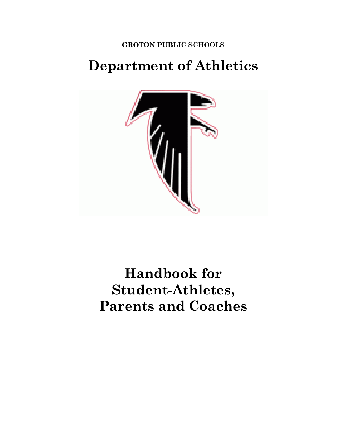**GROTON PUBLIC SCHOOLS**

# **Department of Athletics**



# **Handbook for Student-Athletes, Parents and Coaches**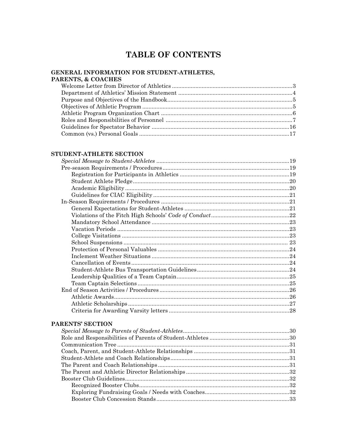# TABLE OF CONTENTS

#### GENERAL INFORMATION FOR STUDENT-ATHLETES, PARENTS, & COACHES

#### STUDENT-ATHLETE SECTION

#### PARENTS' SECTION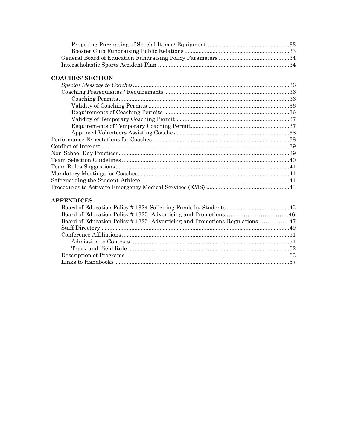#### **COACHES' SECTION**

#### **APPENDICES**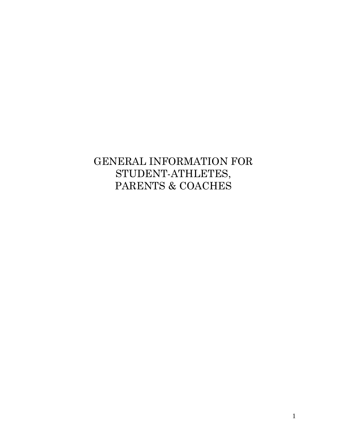# GENERAL INFORMATION FOR STUDENT-ATHLETES, PARENTS & COACHES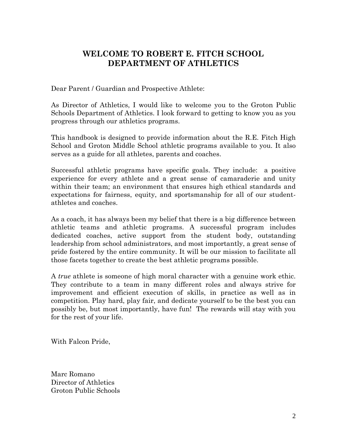# **WELCOME TO ROBERT E. FITCH SCHOOL DEPARTMENT OF ATHLETICS**

Dear Parent / Guardian and Prospective Athlete:

As Director of Athletics, I would like to welcome you to the Groton Public Schools Department of Athletics. I look forward to getting to know you as you progress through our athletics programs.

This handbook is designed to provide information about the R.E. Fitch High School and Groton Middle School athletic programs available to you. It also serves as a guide for all athletes, parents and coaches.

Successful athletic programs have specific goals. They include: a positive experience for every athlete and a great sense of camaraderie and unity within their team; an environment that ensures high ethical standards and expectations for fairness, equity, and sportsmanship for all of our studentathletes and coaches.

As a coach, it has always been my belief that there is a big difference between athletic teams and athletic programs. A successful program includes dedicated coaches, active support from the student body, outstanding leadership from school administrators, and most importantly, a great sense of pride fostered by the entire community. It will be our mission to facilitate all those facets together to create the best athletic programs possible.

A *true* athlete is someone of high moral character with a genuine work ethic. They contribute to a team in many different roles and always strive for improvement and efficient execution of skills, in practice as well as in competition. Play hard, play fair, and dedicate yourself to be the best you can possibly be, but most importantly, have fun! The rewards will stay with you for the rest of your life.

With Falcon Pride,

Marc Romano Director of Athletics Groton Public Schools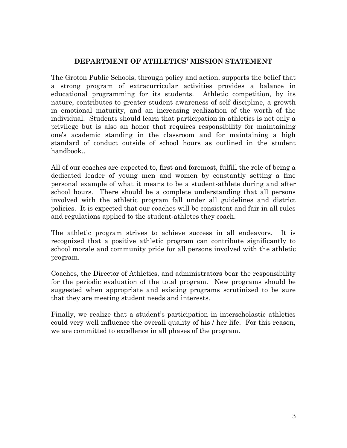#### **DEPARTMENT OF ATHLETICS' MISSION STATEMENT**

The Groton Public Schools, through policy and action, supports the belief that a strong program of extracurricular activities provides a balance in educational programming for its students. Athletic competition, by its nature, contributes to greater student awareness of self-discipline, a growth in emotional maturity, and an increasing realization of the worth of the individual. Students should learn that participation in athletics is not only a privilege but is also an honor that requires responsibility for maintaining one's academic standing in the classroom and for maintaining a high standard of conduct outside of school hours as outlined in the student handbook..

All of our coaches are expected to, first and foremost, fulfill the role of being a dedicated leader of young men and women by constantly setting a fine personal example of what it means to be a student-athlete during and after school hours. There should be a complete understanding that all persons involved with the athletic program fall under all guidelines and district policies. It is expected that our coaches will be consistent and fair in all rules and regulations applied to the student-athletes they coach.

The athletic program strives to achieve success in all endeavors. It is recognized that a positive athletic program can contribute significantly to school morale and community pride for all persons involved with the athletic program.

Coaches, the Director of Athletics, and administrators bear the responsibility for the periodic evaluation of the total program. New programs should be suggested when appropriate and existing programs scrutinized to be sure that they are meeting student needs and interests.

Finally, we realize that a student's participation in interscholastic athletics could very well influence the overall quality of his / her life. For this reason, we are committed to excellence in all phases of the program.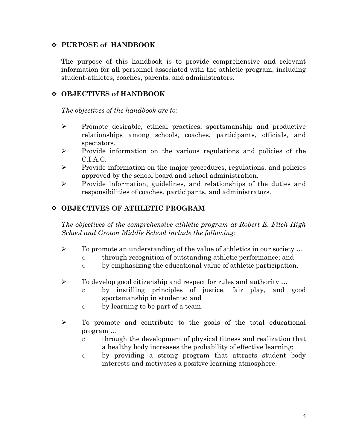# **PURPOSE of HANDBOOK**

The purpose of this handbook is to provide comprehensive and relevant information for all personnel associated with the athletic program, including student-athletes, coaches, parents, and administrators.

# **OBJECTIVES of HANDBOOK**

*The objectives of the handbook are to:*

- $\triangleright$  Promote desirable, ethical practices, sportsmanship and productive relationships among schools, coaches, participants, officials, and spectators.
- $\triangleright$  Provide information on the various regulations and policies of the C.I.A.C.
- $\triangleright$  Provide information on the major procedures, regulations, and policies approved by the school board and school administration.
- $\triangleright$  Provide information, guidelines, and relationships of the duties and responsibilities of coaches, participants, and administrators.

# **OBJECTIVES OF ATHLETIC PROGRAM**

*The objectives of the comprehensive athletic program at Robert E. Fitch High School and Groton Middle School include the following:*

- $\triangleright$  To promote an understanding of the value of athletics in our society ...
	- o through recognition of outstanding athletic performance; and
	- o by emphasizing the educational value of athletic participation.
- $\triangleright$  To develop good citizenship and respect for rules and authority ...
	- o by instilling principles of justice, fair play, and good sportsmanship in students; and
	- o by learning to be part of a team.
- $\triangleright$  To promote and contribute to the goals of the total educational program …
	- o through the development of physical fitness and realization that a healthy body increases the probability of effective learning;
	- o by providing a strong program that attracts student body interests and motivates a positive learning atmosphere.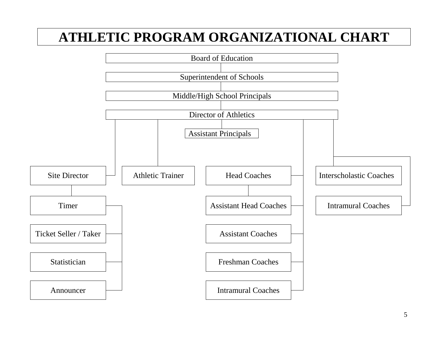# **ATHLETIC PROGRAM ORGANIZATIONAL CHART**

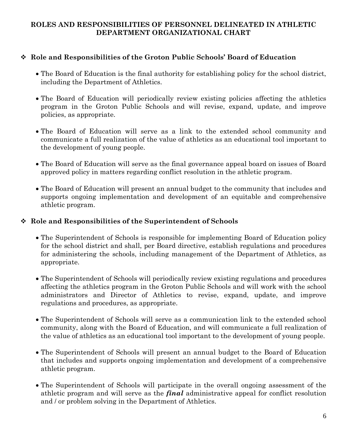# **ROLES AND RESPONSIBILITIES OF PERSONNEL DELINEATED IN ATHLETIC DEPARTMENT ORGANIZATIONAL CHART**

# **Role and Responsibilities of the Groton Public Schools' Board of Education**

- The Board of Education is the final authority for establishing policy for the school district, including the Department of Athletics.
- The Board of Education will periodically review existing policies affecting the athletics program in the Groton Public Schools and will revise, expand, update, and improve policies, as appropriate.
- The Board of Education will serve as a link to the extended school community and communicate a full realization of the value of athletics as an educational tool important to the development of young people.
- The Board of Education will serve as the final governance appeal board on issues of Board approved policy in matters regarding conflict resolution in the athletic program.
- The Board of Education will present an annual budget to the community that includes and supports ongoing implementation and development of an equitable and comprehensive athletic program.

### **Role and Responsibilities of the Superintendent of Schools**

- The Superintendent of Schools is responsible for implementing Board of Education policy for the school district and shall, per Board directive, establish regulations and procedures for administering the schools, including management of the Department of Athletics, as appropriate.
- The Superintendent of Schools will periodically review existing regulations and procedures affecting the athletics program in the Groton Public Schools and will work with the school administrators and Director of Athletics to revise, expand, update, and improve regulations and procedures, as appropriate.
- The Superintendent of Schools will serve as a communication link to the extended school community, along with the Board of Education, and will communicate a full realization of the value of athletics as an educational tool important to the development of young people.
- The Superintendent of Schools will present an annual budget to the Board of Education that includes and supports ongoing implementation and development of a comprehensive athletic program.
- The Superintendent of Schools will participate in the overall ongoing assessment of the athletic program and will serve as the *final* administrative appeal for conflict resolution and / or problem solving in the Department of Athletics.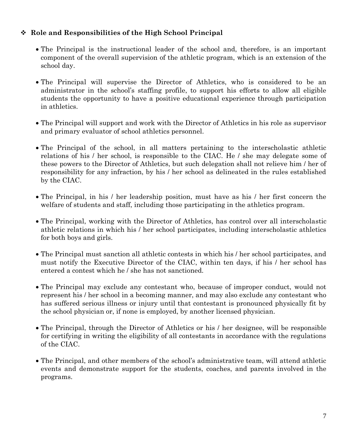# **Role and Responsibilities of the High School Principal**

- The Principal is the instructional leader of the school and, therefore, is an important component of the overall supervision of the athletic program, which is an extension of the school day.
- The Principal will supervise the Director of Athletics, who is considered to be an administrator in the school's staffing profile, to support his efforts to allow all eligible students the opportunity to have a positive educational experience through participation in athletics.
- The Principal will support and work with the Director of Athletics in his role as supervisor and primary evaluator of school athletics personnel.
- The Principal of the school, in all matters pertaining to the interscholastic athletic relations of his / her school, is responsible to the CIAC. He / she may delegate some of these powers to the Director of Athletics, but such delegation shall not relieve him / her of responsibility for any infraction, by his / her school as delineated in the rules established by the CIAC.
- The Principal, in his / her leadership position, must have as his / her first concern the welfare of students and staff, including those participating in the athletics program.
- The Principal, working with the Director of Athletics, has control over all interscholastic athletic relations in which his / her school participates, including interscholastic athletics for both boys and girls.
- The Principal must sanction all athletic contests in which his / her school participates, and must notify the Executive Director of the CIAC, within ten days, if his / her school has entered a contest which he / she has not sanctioned.
- The Principal may exclude any contestant who, because of improper conduct, would not represent his / her school in a becoming manner, and may also exclude any contestant who has suffered serious illness or injury until that contestant is pronounced physically fit by the school physician or, if none is employed, by another licensed physician.
- The Principal, through the Director of Athletics or his / her designee, will be responsible for certifying in writing the eligibility of all contestants in accordance with the regulations of the CIAC.
- The Principal, and other members of the school's administrative team, will attend athletic events and demonstrate support for the students, coaches, and parents involved in the programs.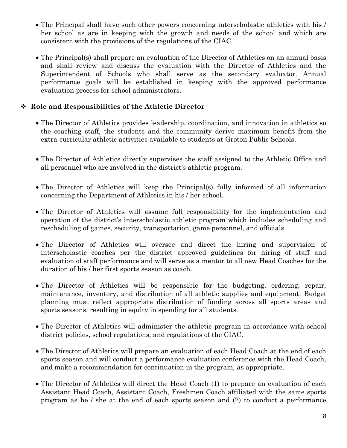- The Principal shall have such other powers concerning interscholastic athletics with his / her school as are in keeping with the growth and needs of the school and which are consistent with the provisions of the regulations of the CIAC.
- The Principal(s) shall prepare an evaluation of the Director of Athletics on an annual basis and shall review and discuss the evaluation with the Director of Athletics and the Superintendent of Schools who shall serve as the secondary evaluator. Annual performance goals will be established in keeping with the approved performance evaluation process for school administrators.

# **Role and Responsibilities of the Athletic Director**

- The Director of Athletics provides leadership, coordination, and innovation in athletics so the coaching staff, the students and the community derive maximum benefit from the extra-curricular athletic activities available to students at Groton Public Schools.
- The Director of Athletics directly supervises the staff assigned to the Athletic Office and all personnel who are involved in the district's athletic program.
- The Director of Athletics will keep the Principal(s) fully informed of all information concerning the Department of Athletics in his / her school.
- The Director of Athletics will assume full responsibility for the implementation and operation of the district's interscholastic athletic program which includes scheduling and rescheduling of games, security, transportation, game personnel, and officials.
- The Director of Athletics will oversee and direct the hiring and supervision of interscholastic coaches per the district approved guidelines for hiring of staff and evaluation of staff performance and will serve as a mentor to all new Head Coaches for the duration of his / her first sports season as coach.
- The Director of Athletics will be responsible for the budgeting, ordering, repair, maintenance, inventory, and distribution of all athletic supplies and equipment. Budget planning must reflect appropriate distribution of funding across all sports areas and sports seasons, resulting in equity in spending for all students.
- The Director of Athletics will administer the athletic program in accordance with school district policies, school regulations, and regulations of the CIAC.
- The Director of Athletics will prepare an evaluation of each Head Coach at the end of each sports season and will conduct a performance evaluation conference with the Head Coach, and make a recommendation for continuation in the program, as appropriate.
- The Director of Athletics will direct the Head Coach (1) to prepare an evaluation of each Assistant Head Coach, Assistant Coach, Freshmen Coach affiliated with the same sports program as he / she at the end of each sports season and (2) to conduct a performance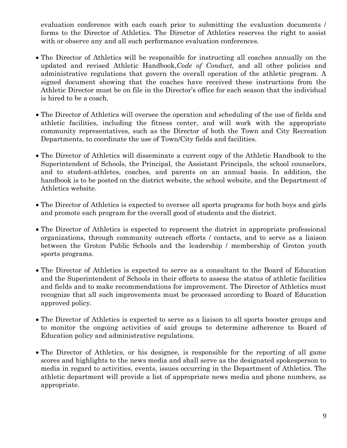evaluation conference with each coach prior to submitting the evaluation documents / forms to the Director of Athletics. The Director of Athletics reserves the right to assist with or observe any and all such performance evaluation conferences.

- The Director of Athletics will be responsible for instructing all coaches annually on the updated and revised Athletic Handbook,*Code of Conduct,* and all other policies and administrative regulations that govern the overall operation of the athletic program. A signed document showing that the coaches have received these instructions from the Athletic Director must be on file in the Director's office for each season that the individual is hired to be a coach.
- The Director of Athletics will oversee the operation and scheduling of the use of fields and athletic facilities, including the fitness center, and will work with the appropriate community representatives, such as the Director of both the Town and City Recreation Departments, to coordinate the use of Town/City fields and facilities.
- The Director of Athletics will disseminate a current copy of the Athletic Handbook to the Superintendent of Schools, the Principal, the Assistant Principals, the school counselors, and to student-athletes, coaches, and parents on an annual basis. In addition, the handbook is to be posted on the district website, the school website, and the Department of Athletics website.
- The Director of Athletics is expected to oversee all sports programs for both boys and girls and promote each program for the overall good of students and the district.
- The Director of Athletics is expected to represent the district in appropriate professional organizations, through community outreach efforts / contacts, and to serve as a liaison between the Groton Public Schools and the leadership / membership of Groton youth sports programs.
- The Director of Athletics is expected to serve as a consultant to the Board of Education and the Superintendent of Schools in their efforts to assess the status of athletic facilities and fields and to make recommendations for improvement. The Director of Athletics must recognize that all such improvements must be processed according to Board of Education approved policy.
- The Director of Athletics is expected to serve as a liaison to all sports booster groups and to monitor the ongoing activities of said groups to determine adherence to Board of Education policy and administrative regulations.
- The Director of Athletics, or his designee, is responsible for the reporting of all game scores and highlights to the news media and shall serve as the designated spokesperson to media in regard to activities, events, issues occurring in the Department of Athletics. The athletic department will provide a list of appropriate news media and phone numbers, as appropriate.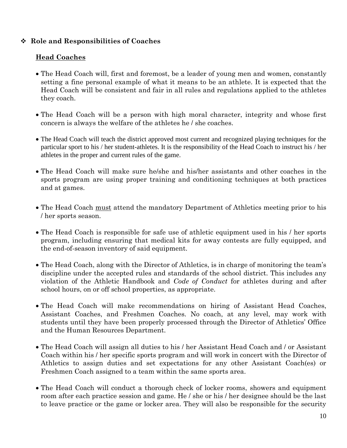# **Role and Responsibilities of Coaches**

# **Head Coaches**

- The Head Coach will, first and foremost, be a leader of young men and women, constantly setting a fine personal example of what it means to be an athlete. It is expected that the Head Coach will be consistent and fair in all rules and regulations applied to the athletes they coach.
- The Head Coach will be a person with high moral character, integrity and whose first concern is always the welfare of the athletes he / she coaches.
- The Head Coach will teach the district approved most current and recognized playing techniques for the particular sport to his / her student-athletes. It is the responsibility of the Head Coach to instruct his / her athletes in the proper and current rules of the game.
- The Head Coach will make sure he/she and his/her assistants and other coaches in the sports program are using proper training and conditioning techniques at both practices and at games.
- The Head Coach must attend the mandatory Department of Athletics meeting prior to his / her sports season.
- The Head Coach is responsible for safe use of athletic equipment used in his / her sports program, including ensuring that medical kits for away contests are fully equipped, and the end-of-season inventory of said equipment.
- The Head Coach, along with the Director of Athletics, is in charge of monitoring the team's discipline under the accepted rules and standards of the school district. This includes any violation of the Athletic Handbook and *Code of Conduct* for athletes during and after school hours, on or off school properties, as appropriate.
- The Head Coach will make recommendations on hiring of Assistant Head Coaches, Assistant Coaches, and Freshmen Coaches. No coach, at any level, may work with students until they have been properly processed through the Director of Athletics' Office and the Human Resources Department.
- The Head Coach will assign all duties to his / her Assistant Head Coach and / or Assistant Coach within his / her specific sports program and will work in concert with the Director of Athletics to assign duties and set expectations for any other Assistant Coach(es) or Freshmen Coach assigned to a team within the same sports area.
- The Head Coach will conduct a thorough check of locker rooms, showers and equipment room after each practice session and game. He / she or his / her designee should be the last to leave practice or the game or locker area. They will also be responsible for the security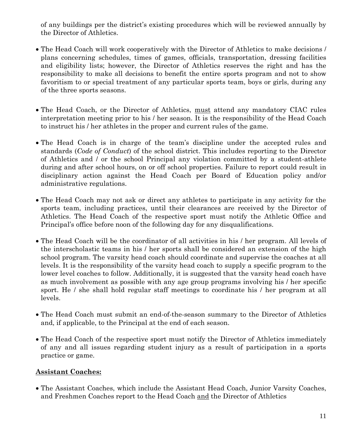of any buildings per the district's existing procedures which will be reviewed annually by the Director of Athletics.

- The Head Coach will work cooperatively with the Director of Athletics to make decisions / plans concerning schedules, times of games, officials, transportation, dressing facilities and eligibility lists; however, the Director of Athletics reserves the right and has the responsibility to make all decisions to benefit the entire sports program and not to show favoritism to or special treatment of any particular sports team, boys or girls, during any of the three sports seasons.
- The Head Coach, or the Director of Athletics, must attend any mandatory CIAC rules interpretation meeting prior to his / her season. It is the responsibility of the Head Coach to instruct his / her athletes in the proper and current rules of the game.
- The Head Coach is in charge of the team's discipline under the accepted rules and standards (*Code of Conduct*) of the school district. This includes reporting to the Director of Athletics and / or the school Principal any violation committed by a student-athlete during and after school hours, on or off school properties. Failure to report could result in disciplinary action against the Head Coach per Board of Education policy and/or administrative regulations.
- The Head Coach may not ask or direct any athletes to participate in any activity for the sports team, including practices, until their clearances are received by the Director of Athletics. The Head Coach of the respective sport must notify the Athletic Office and Principal's office before noon of the following day for any disqualifications.
- The Head Coach will be the coordinator of all activities in his / her program. All levels of the interscholastic teams in his / her sports shall be considered an extension of the high school program. The varsity head coach should coordinate and supervise the coaches at all levels. It is the responsibility of the varsity head coach to supply a specific program to the lower level coaches to follow. Additionally, it is suggested that the varsity head coach have as much involvement as possible with any age group programs involving his / her specific sport. He / she shall hold regular staff meetings to coordinate his / her program at all levels.
- The Head Coach must submit an end-of-the-season summary to the Director of Athletics and, if applicable, to the Principal at the end of each season.
- The Head Coach of the respective sport must notify the Director of Athletics immediately of any and all issues regarding student injury as a result of participation in a sports practice or game.

# **Assistant Coaches:**

 The Assistant Coaches, which include the Assistant Head Coach, Junior Varsity Coaches, and Freshmen Coaches report to the Head Coach and the Director of Athletics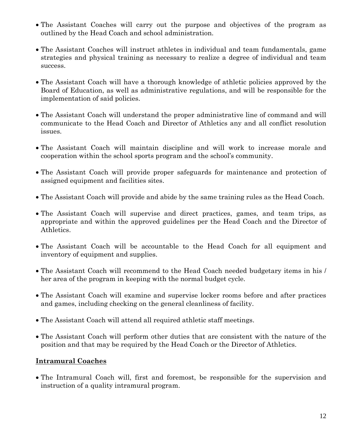- The Assistant Coaches will carry out the purpose and objectives of the program as outlined by the Head Coach and school administration.
- The Assistant Coaches will instruct athletes in individual and team fundamentals, game strategies and physical training as necessary to realize a degree of individual and team success.
- The Assistant Coach will have a thorough knowledge of athletic policies approved by the Board of Education, as well as administrative regulations, and will be responsible for the implementation of said policies.
- The Assistant Coach will understand the proper administrative line of command and will communicate to the Head Coach and Director of Athletics any and all conflict resolution issues.
- The Assistant Coach will maintain discipline and will work to increase morale and cooperation within the school sports program and the school's community.
- The Assistant Coach will provide proper safeguards for maintenance and protection of assigned equipment and facilities sites.
- The Assistant Coach will provide and abide by the same training rules as the Head Coach.
- The Assistant Coach will supervise and direct practices, games, and team trips, as appropriate and within the approved guidelines per the Head Coach and the Director of Athletics.
- The Assistant Coach will be accountable to the Head Coach for all equipment and inventory of equipment and supplies.
- The Assistant Coach will recommend to the Head Coach needed budgetary items in his / her area of the program in keeping with the normal budget cycle.
- The Assistant Coach will examine and supervise locker rooms before and after practices and games, including checking on the general cleanliness of facility.
- The Assistant Coach will attend all required athletic staff meetings.
- The Assistant Coach will perform other duties that are consistent with the nature of the position and that may be required by the Head Coach or the Director of Athletics.

# **Intramural Coaches**

• The Intramural Coach will, first and foremost, be responsible for the supervision and instruction of a quality intramural program.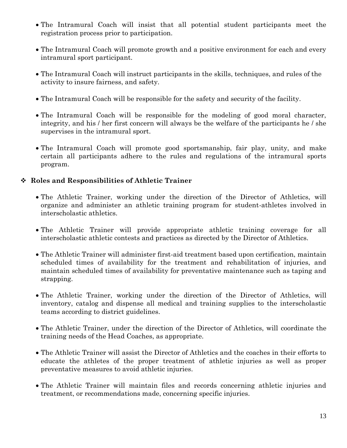- The Intramural Coach will insist that all potential student participants meet the registration process prior to participation.
- The Intramural Coach will promote growth and a positive environment for each and every intramural sport participant.
- The Intramural Coach will instruct participants in the skills, techniques, and rules of the activity to insure fairness, and safety.
- The Intramural Coach will be responsible for the safety and security of the facility.
- The Intramural Coach will be responsible for the modeling of good moral character, integrity, and his / her first concern will always be the welfare of the participants he / she supervises in the intramural sport.
- The Intramural Coach will promote good sportsmanship, fair play, unity, and make certain all participants adhere to the rules and regulations of the intramural sports program.

### **Roles and Responsibilities of Athletic Trainer**

- The Athletic Trainer, working under the direction of the Director of Athletics, will organize and administer an athletic training program for student-athletes involved in interscholastic athletics.
- The Athletic Trainer will provide appropriate athletic training coverage for all interscholastic athletic contests and practices as directed by the Director of Athletics.
- The Athletic Trainer will administer first-aid treatment based upon certification, maintain scheduled times of availability for the treatment and rehabilitation of injuries, and maintain scheduled times of availability for preventative maintenance such as taping and strapping.
- The Athletic Trainer, working under the direction of the Director of Athletics, will inventory, catalog and dispense all medical and training supplies to the interscholastic teams according to district guidelines.
- The Athletic Trainer, under the direction of the Director of Athletics, will coordinate the training needs of the Head Coaches, as appropriate.
- The Athletic Trainer will assist the Director of Athletics and the coaches in their efforts to educate the athletes of the proper treatment of athletic injuries as well as proper preventative measures to avoid athletic injuries.
- The Athletic Trainer will maintain files and records concerning athletic injuries and treatment, or recommendations made, concerning specific injuries.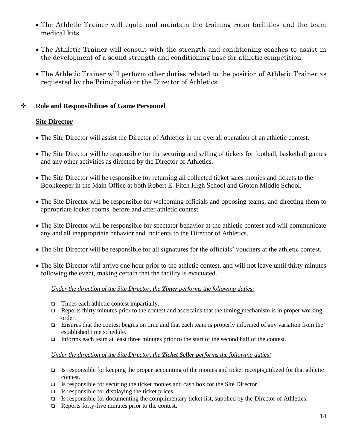- The Athletic Trainer will equip and maintain the training room facilities and the team medical kits.
- The Athletic Trainer will consult with the strength and conditioning coaches to assist in the development of a sound strength and conditioning base for athletic competition.
- The Athletic Trainer will perform other duties related to the position of Athletic Trainer as requested by the Principal(s) or the Director of Athletics.

### **Role and Responsibilities of Game Personnel**

#### **Site Director**

- The Site Director will assist the Director of Athletics in the overall operation of an athletic contest.
- The Site Director will be responsible for the securing and selling of tickets for football, basketball games and any other activities as directed by the Director of Athletics.
- The Site Director will be responsible for returning all collected ticket sales monies and tickets to the Bookkeeper in the Main Office at both Robert E. Fitch High School and Groton Middle School.
- The Site Director will be responsible for welcoming officials and opposing teams, and directing them to appropriate locker rooms, before and after athletic contest.
- The Site Director will be responsible for spectator behavior at the athletic contest and will communicate any and all inappropriate behavior and incidents to the Director of Athletics.
- The Site Director will be responsible for all signatures for the officials' vouchers at the athletic contest.
- The Site Director will arrive one hour prior to the athletic contest, and will not leave until thirty minutes following the event, making certain that the facility is evacuated.

#### *Under the direction of the Site Director, the Timer performs the following duties:*

- $\Box$  Times each athletic contest impartially.
- Reports thirty minutes prior to the contest and ascertains that the timing mechanism is in proper working order.
- Ensures that the contest begins on time and that each team is properly informed of any variation from the established time schedule.
- Informs each team at least three minutes prior to the start of the second half of the contest.

#### *Under the direction of the Site Director, the Ticket Seller performs the following duties:*

- $\Box$  Is responsible for keeping the proper accounting of the monies and ticket receipts utilized for that athletic contest.
- $\Box$  Is responsible for securing the ticket monies and cash box for the Site Director.
- $\Box$  Is responsible for displaying the ticket prices.
- $\Box$  Is responsible for documenting the complimentary ticket list, supplied by the Director of Athletics.
- $\Box$  Reports forty-five minutes prior to the contest.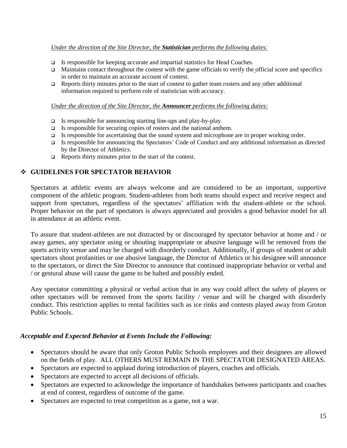#### *Under the direction of the Site Director, the Statistician performs the following duties:*

- □ Is responsible for keeping accurate and impartial statistics for Head Coaches.
- $\Box$  Maintains contact throughout the contest with the game officials to verify the official score and specifics in order to maintain an accurate account of contest.
- $\Box$  Reports thirty minutes prior to the start of contest to gather team rosters and any other additional information required to perform role of statistician with accuracy.

#### *Under the direction of the Site Director, the Announcer performs the following duties:*

- Is responsible for announcing starting line-ups and play-by-play.
- $\Box$  Is responsible for securing copies of rosters and the national anthem.
- $\Box$  Is responsible for ascertaining that the sound system and microphone are in proper working order.
- Is responsible for announcing the Spectators' Code of Conduct and any additional information as directed by the Director of Athletics.
- $\Box$  Reports thirty minutes prior to the start of the contest.

#### **GUIDELINES FOR SPECTATOR BEHAVIOR**

Spectators at athletic events are always welcome and are considered to be an important, supportive component of the athletic program. Student-athletes from both teams should expect and receive respect and support from spectators, regardless of the spectators' affiliation with the student-athlete or the school. Proper behavior on the part of spectators is always appreciated and provides a good behavior model for all in attendance at an athletic event.

To assure that student-athletes are not distracted by or discouraged by spectator behavior at home and / or away games, any spectator using or shouting inappropriate or abusive language will be removed from the sports activity venue and may be charged with disorderly conduct. Additionally, if groups of student or adult spectators shout profanities or use abusive language, the Director of Athletics or his designee will announce to the spectators, or direct the Site Director to announce that continued inappropriate behavior or verbal and / or gestural abuse will cause the game to be halted and possibly ended.

Any spectator committing a physical or verbal action that in any way could affect the safety of players or other spectators will be removed from the sports facility / venue and will be charged with disorderly conduct. This restriction applies to rental facilities such as ice rinks and contests played away from Groton Public Schools.

#### *Acceptable and Expected Behavior at Events Include the Following:*

- Spectators should be aware that only Groton Public Schools employees and their designees are allowed on the fields of play. ALL OTHERS MUST REMAIN IN THE SPECTATOR DESIGNATED AREAS.
- Spectators are expected to applaud during introduction of players, coaches and officials.
- Spectators are expected to accept all decisions of officials.
- Spectators are expected to acknowledge the importance of handshakes between participants and coaches at end of contest, regardless of outcome of the game.
- Spectators are expected to treat competition as a game, not a war.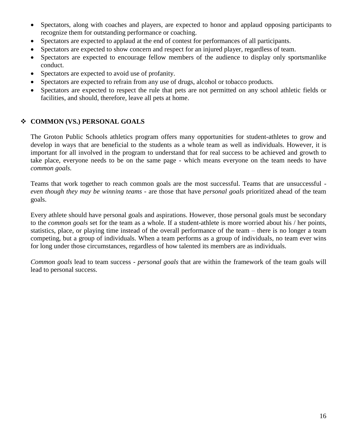- Spectators, along with coaches and players, are expected to honor and applaud opposing participants to recognize them for outstanding performance or coaching.
- Spectators are expected to applaud at the end of contest for performances of all participants.
- Spectators are expected to show concern and respect for an injured player, regardless of team.
- Spectators are expected to encourage fellow members of the audience to display only sportsmanlike conduct.
- Spectators are expected to avoid use of profanity.
- Spectators are expected to refrain from any use of drugs, alcohol or tobacco products.
- Spectators are expected to respect the rule that pets are not permitted on any school athletic fields or facilities, and should, therefore, leave all pets at home.

# **COMMON (VS.) PERSONAL GOALS**

The Groton Public Schools athletics program offers many opportunities for student-athletes to grow and develop in ways that are beneficial to the students as a whole team as well as individuals. However, it is important for all involved in the program to understand that for real success to be achieved and growth to take place, everyone needs to be on the same page - which means everyone on the team needs to have *common goals.*

Teams that work together to reach common goals are the most successful. Teams that are unsuccessful *even though they may be winning teams* - are those that have *personal goals* prioritized ahead of the team goals.

Every athlete should have personal goals and aspirations. However, those personal goals must be secondary to the *common goals* set for the team as a whole. If a student-athlete is more worried about his / her points, statistics, place, or playing time instead of the overall performance of the team – there is no longer a team competing, but a group of individuals. When a team performs as a group of individuals, no team ever wins for long under those circumstances, regardless of how talented its members are as individuals.

*Common goals* lead to team success - *personal goals* that are within the framework of the team goals will lead to personal success.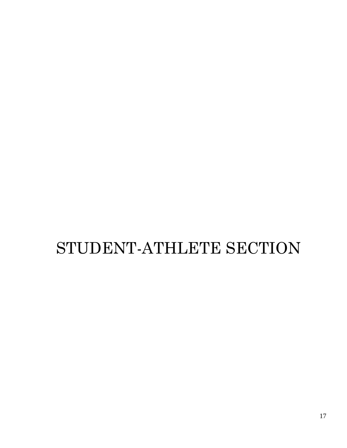# STUDENT-ATHLETE SECTION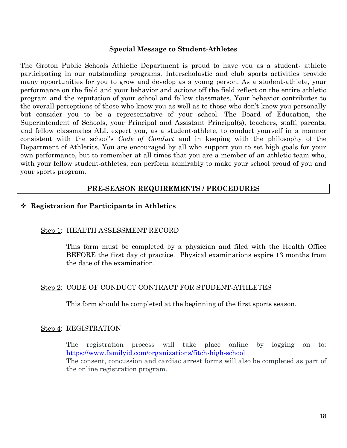#### **Special Message to Student-Athletes**

The Groton Public Schools Athletic Department is proud to have you as a student- athlete participating in our outstanding programs. Interscholastic and club sports activities provide many opportunities for you to grow and develop as a young person. As a student-athlete, your performance on the field and your behavior and actions off the field reflect on the entire athletic program and the reputation of your school and fellow classmates. Your behavior contributes to the overall perceptions of those who know you as well as to those who don't know you personally but consider you to be a representative of your school. The Board of Education, the Superintendent of Schools, your Principal and Assistant Principal(s), teachers, staff, parents, and fellow classmates ALL expect you, as a student-athlete, to conduct yourself in a manner consistent with the school's *Code of Conduct* and in keeping with the philosophy of the Department of Athletics. You are encouraged by all who support you to set high goals for your own performance, but to remember at all times that you are a member of an athletic team who, with your fellow student-athletes, can perform admirably to make your school proud of you and your sports program.

#### **PRE-SEASON REQUIREMENTS / PROCEDURES**

#### **Registration for Participants in Athletics**

#### Step 1: HEALTH ASSESSMENT RECORD

This form must be completed by a physician and filed with the Health Office BEFORE the first day of practice. Physical examinations expire 13 months from the date of the examination.

#### Step 2: CODE OF CONDUCT CONTRACT FOR STUDENT-ATHLETES

This form should be completed at the beginning of the first sports season.

#### Step 4: REGISTRATION

The registration process will take place online by logging on to: <https://www.familyid.com/organizations/fitch-high-school> The consent, concussion and cardiac arrest forms will also be completed as part of the online registration program.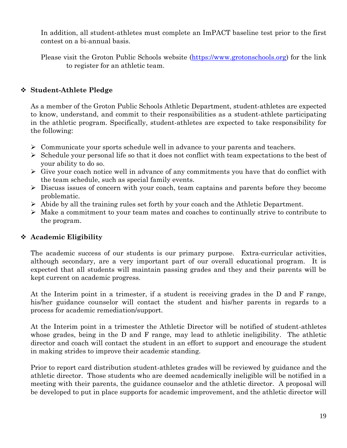In addition, all student-athletes must complete an ImPACT baseline test prior to the first contest on a bi-annual basis.

Please visit the Groton Public Schools website [\(https://www.grotonschools.org\)](https://www.grotonschools.org/) for the link to register for an athletic team.

# **Student-Athlete Pledge**

As a member of the Groton Public Schools Athletic Department, student-athletes are expected to know, understand, and commit to their responsibilities as a student-athlete participating in the athletic program. Specifically, student-athletes are expected to take responsibility for the following:

- $\triangleright$  Communicate your sports schedule well in advance to your parents and teachers.
- $\triangleright$  Schedule your personal life so that it does not conflict with team expectations to the best of your ability to do so.
- $\triangleright$  Give your coach notice well in advance of any commitments you have that do conflict with the team schedule, such as special family events.
- $\triangleright$  Discuss issues of concern with your coach, team captains and parents before they become problematic.
- $\triangleright$  Abide by all the training rules set forth by your coach and the Athletic Department.
- $\triangleright$  Make a commitment to your team mates and coaches to continually strive to contribute to the program.

# **Academic Eligibility**

The academic success of our students is our primary purpose. Extra-curricular activities, although secondary, are a very important part of our overall educational program. It is expected that all students will maintain passing grades and they and their parents will be kept current on academic progress.

At the Interim point in a trimester, if a student is receiving grades in the D and F range, his/her guidance counselor will contact the student and his/her parents in regards to a process for academic remediation/support.

At the Interim point in a trimester the Athletic Director will be notified of student-athletes whose grades, being in the D and F range, may lead to athletic ineligibility. The athletic director and coach will contact the student in an effort to support and encourage the student in making strides to improve their academic standing.

Prior to report card distribution student-athletes grades will be reviewed by guidance and the athletic director. Those students who are deemed academically ineligible will be notified in a meeting with their parents, the guidance counselor and the athletic director. A proposal will be developed to put in place supports for academic improvement, and the athletic director will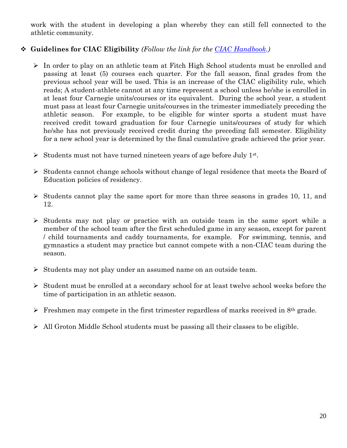work with the student in developing a plan whereby they can still fell connected to the athletic community.

# **Guidelines for CIAC Eligibility** *(Follow the link for the [CIAC Handbook.](http://www.casciac.org/pdfs/ciachandbook_1011.pdf))*

- In order to play on an athletic team at Fitch High School students must be enrolled and passing at least (5) courses each quarter. For the fall season, final grades from the previous school year will be used. This is an increase of the CIAC eligibility rule, which reads; A student-athlete cannot at any time represent a school unless he/she is enrolled in at least four Carnegie units/courses or its equivalent. During the school year, a student must pass at least four Carnegie units/courses in the trimester immediately preceding the athletic season. For example, to be eligible for winter sports a student must have received credit toward graduation for four Carnegie units/courses of study for which he/she has not previously received credit during the preceding fall semester. Eligibility for a new school year is determined by the final cumulative grade achieved the prior year.
- Students must not have turned nineteen years of age before July  $1^{st}$ .
- $\triangleright$  Students cannot change schools without change of legal residence that meets the Board of Education policies of residency.
- $\triangleright$  Students cannot play the same sport for more than three seasons in grades 10, 11, and 12.
- $\triangleright$  Students may not play or practice with an outside team in the same sport while a member of the school team after the first scheduled game in any season, except for parent / child tournaments and caddy tournaments, for example. For swimming, tennis, and gymnastics a student may practice but cannot compete with a non-CIAC team during the season.
- $\triangleright$  Students may not play under an assumed name on an outside team.
- Student must be enrolled at a secondary school for at least twelve school weeks before the time of participation in an athletic season.
- Freshmen may compete in the first trimester regardless of marks received in  $8<sup>th</sup>$  grade.
- $\triangleright$  All Groton Middle School students must be passing all their classes to be eligible.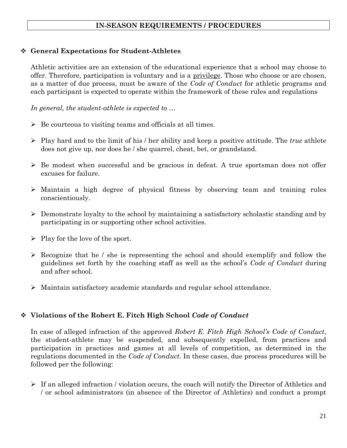# **IN-SEASON REQUIREMENTS / PROCEDURES**

#### **General Expectations for Student-Athletes**

Athletic activities are an extension of the educational experience that a school may choose to offer. Therefore, participation is voluntary and is a privilege. Those who choose or are chosen, as a matter of due process, must be aware of the *Code of Conduct* for athletic programs and each participant is expected to operate within the framework of these rules and regulations

*In general, the student-athlete is expected to …* 

- $\triangleright$  Be courteous to visiting teams and officials at all times.
- Play hard and to the limit of his / her ability and keep a positive attitude. The *true* athlete does not give up, nor does he / she quarrel, cheat, bet, or grandstand.
- $\triangleright$  Be modest when successful and be gracious in defeat. A true sportsman does not offer excuses for failure.
- Maintain a high degree of physical fitness by observing team and training rules conscientiously.
- $\triangleright$  Demonstrate loyalty to the school by maintaining a satisfactory scholastic standing and by participating in or supporting other school activities.
- $\triangleright$  Play for the love of the sport.
- $\triangleright$  Recognize that he / she is representing the school and should exemplify and follow the guidelines set forth by the coaching staff as well as the school's *Code of Conduct* during and after school.
- $\triangleright$  Maintain satisfactory academic standards and regular school attendance.

# **Violations of the Robert E. Fitch High School** *Code of Conduct*

In case of alleged infraction of the approved *Robert E. Fitch High School's Code of Conduct*, the student-athlete may be suspended, and subsequently expelled, from practices and participation in practices and games at all levels of competition, as determined in the regulations documented in the *Code of Conduct*. In these cases, due process procedures will be followed per the following:

 $\triangleright$  If an alleged infraction / violation occurs, the coach will notify the Director of Athletics and / or school administrators (in absence of the Director of Athletics) and conduct a prompt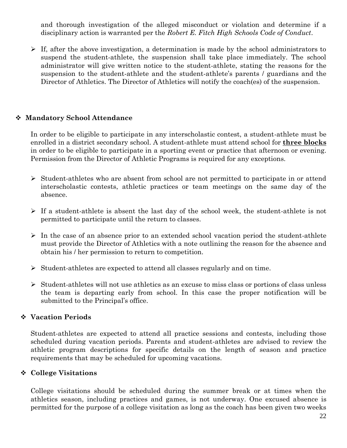and thorough investigation of the alleged misconduct or violation and determine if a disciplinary action is warranted per the *Robert E. Fitch High Schools Code of Conduct*.

 $\triangleright$  If, after the above investigation, a determination is made by the school administrators to suspend the student-athlete, the suspension shall take place immediately. The school administrator will give written notice to the student-athlete, stating the reasons for the suspension to the student-athlete and the student-athlete's parents / guardians and the Director of Athletics. The Director of Athletics will notify the coach(es) of the suspension.

# **Mandatory School Attendance**

In order to be eligible to participate in any interscholastic contest, a student-athlete must be enrolled in a district secondary school. A student-athlete must attend school for **three blocks** in order to be eligible to participate in a sporting event or practice that afternoon or evening. Permission from the Director of Athletic Programs is required for any exceptions.

- $\triangleright$  Student-athletes who are absent from school are not permitted to participate in or attend interscholastic contests, athletic practices or team meetings on the same day of the absence.
- $\triangleright$  If a student-athlete is absent the last day of the school week, the student-athlete is not permitted to participate until the return to classes.
- $\triangleright$  In the case of an absence prior to an extended school vacation period the student-athlete must provide the Director of Athletics with a note outlining the reason for the absence and obtain his / her permission to return to competition.
- $\triangleright$  Student-athletes are expected to attend all classes regularly and on time.
- $\triangleright$  Student-athletes will not use athletics as an excuse to miss class or portions of class unless the team is departing early from school. In this case the proper notification will be submitted to the Principal's office.

# **Vacation Periods**

Student-athletes are expected to attend all practice sessions and contests, including those scheduled during vacation periods. Parents and student-athletes are advised to review the athletic program descriptions for specific details on the length of season and practice requirements that may be scheduled for upcoming vacations.

#### **College Visitations**

College visitations should be scheduled during the summer break or at times when the athletics season, including practices and games, is not underway. One excused absence is permitted for the purpose of a college visitation as long as the coach has been given two weeks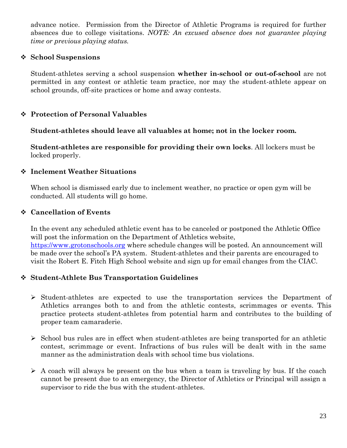advance notice. Permission from the Director of Athletic Programs is required for further absences due to college visitations. *NOTE: An excused absence does not guarantee playing time or previous playing status.* 

# **School Suspensions**

Student-athletes serving a school suspension **whether in-school or out-of-school** are not permitted in any contest or athletic team practice, nor may the student-athlete appear on school grounds, off-site practices or home and away contests.

# **Protection of Personal Valuables**

**Student-athletes should leave all valuables at home; not in the locker room.** 

**Student-athletes are responsible for providing their own locks**. All lockers must be locked properly.

### **Inclement Weather Situations**

When school is dismissed early due to inclement weather, no practice or open gym will be conducted. All students will go home.

### **Cancellation of Events**

In the event any scheduled athletic event has to be canceled or postponed the Athletic Office will post the information on the Department of Athletics website, [https://www.grotonschools.org](https://www.grotonschools.org/) where schedule changes will be posted. An announcement will be made over the school's PA system. Student-athletes and their parents are encouraged to visit the Robert E. Fitch High School website and sign up for email changes from the CIAC.

# **Student-Athlete Bus Transportation Guidelines**

- $\triangleright$  Student-athletes are expected to use the transportation services the Department of Athletics arranges both to and from the athletic contests, scrimmages or events. This practice protects student-athletes from potential harm and contributes to the building of proper team camaraderie.
- $\triangleright$  School bus rules are in effect when student-athletes are being transported for an athletic contest, scrimmage or event. Infractions of bus rules will be dealt with in the same manner as the administration deals with school time bus violations.
- $\triangleright$  A coach will always be present on the bus when a team is traveling by bus. If the coach cannot be present due to an emergency, the Director of Athletics or Principal will assign a supervisor to ride the bus with the student-athletes.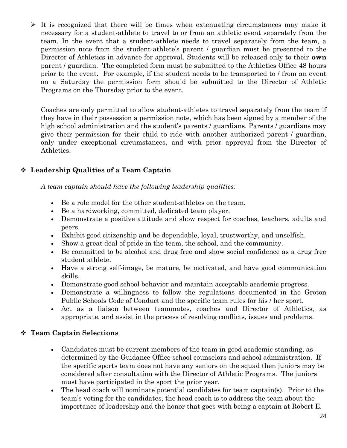$\triangleright$  It is recognized that there will be times when extenuating circumstances may make it necessary for a student-athlete to travel to or from an athletic event separately from the team. In the event that a student-athlete needs to travel separately from the team, a permission note from the student-athlete's parent / guardian must be presented to the Director of Athletics in advance for approval. Students will be released only to their **own** parent / guardian. The completed form must be submitted to the Athletics Office 48 hours prior to the event. For example, if the student needs to be transported to / from an event on a Saturday the permission form should be submitted to the Director of Athletic Programs on the Thursday prior to the event.

Coaches are only permitted to allow student-athletes to travel separately from the team if they have in their possession a permission note, which has been signed by a member of the high school administration and the student's parents / guardians. Parents / guardians may give their permission for their child to ride with another authorized parent / guardian, only under exceptional circumstances, and with prior approval from the Director of Athletics.

# **Leadership Qualities of a Team Captain**

*A team captain should have the following leadership qualities:* 

- Be a role model for the other student-athletes on the team.
- Be a hardworking, committed, dedicated team player.
- Demonstrate a positive attitude and show respect for coaches, teachers, adults and peers.
- Exhibit good citizenship and be dependable, loyal, trustworthy, and unselfish.
- Show a great deal of pride in the team, the school, and the community.
- Be committed to be alcohol and drug free and show social confidence as a drug free student athlete.
- Have a strong self-image, be mature, be motivated, and have good communication skills.
- Demonstrate good school behavior and maintain acceptable academic progress.
- Demonstrate a willingness to follow the regulations documented in the Groton Public Schools Code of Conduct and the specific team rules for his / her sport.
- Act as a liaison between teammates, coaches and Director of Athletics, as appropriate, and assist in the process of resolving conflicts, issues and problems.

# **Team Captain Selections**

- Candidates must be current members of the team in good academic standing, as determined by the Guidance Office school counselors and school administration. If the specific sports team does not have any seniors on the squad then juniors may be considered after consultation with the Director of Athletic Programs. The juniors must have participated in the sport the prior year.
- The head coach will nominate potential candidates for team captain(s). Prior to the team's voting for the candidates, the head coach is to address the team about the importance of leadership and the honor that goes with being a captain at Robert E.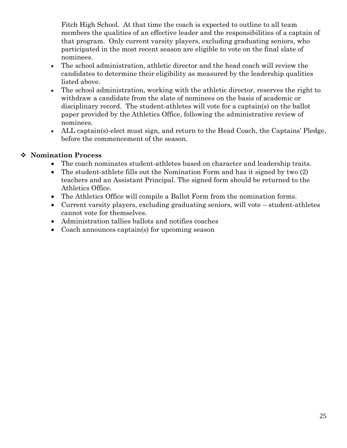Fitch High School. At that time the coach is expected to outline to all team members the qualities of an effective leader and the responsibilities of a captain of that program. Only current varsity players, excluding graduating seniors, who participated in the most recent season are eligible to vote on the final slate of nominees.

- The school administration, athletic director and the head coach will review the candidates to determine their eligibility as measured by the leadership qualities listed above.
- The school administration, working with the athletic director, reserves the right to withdraw a candidate from the slate of nominees on the basis of academic or disciplinary record. The student-athletes will vote for a captain(s) on the ballot paper provided by the Athletics Office, following the administrative review of nominees.
- ALL captain(s)-elect must sign, and return to the Head Coach, the Captains' Pledge, before the commencement of the season.

# **Nomination Process**

- The coach nominates student-athletes based on character and leadership traits.
- The student-athlete fills out the Nomination Form and has it signed by two (2) teachers and an Assistant Principal. The signed form should be returned to the Athletics Office.
- The Athletics Office will compile a Ballot Form from the nomination forms.
- Current varsity players, excluding graduating seniors, will vote student-athletes cannot vote for themselves.
- Administration tallies ballots and notifies coaches
- Coach announces captain(s) for upcoming season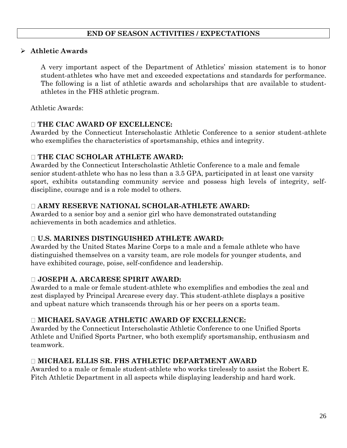# **END OF SEASON ACTIVITIES / EXPECTATIONS**

# **Athletic Awards**

A very important aspect of the Department of Athletics' mission statement is to honor student-athletes who have met and exceeded expectations and standards for performance. The following is a list of athletic awards and scholarships that are available to studentathletes in the FHS athletic program.

Athletic Awards:

### **THE CIAC AWARD OF EXCELLENCE:**

Awarded by the Connecticut Interscholastic Athletic Conference to a senior student-athlete who exemplifies the characteristics of sportsmanship, ethics and integrity.

# **THE CIAC SCHOLAR ATHLETE AWARD:**

Awarded by the Connecticut Interscholastic Athletic Conference to a male and female senior student-athlete who has no less than a 3.5 GPA, participated in at least one varsity sport, exhibits outstanding community service and possess high levels of integrity, selfdiscipline, courage and is a role model to others.

# **ARMY RESERVE NATIONAL SCHOLAR-ATHLETE AWARD:**

Awarded to a senior boy and a senior girl who have demonstrated outstanding achievements in both academics and athletics.

# **U.S. MARINES DISTINGUISHED ATHLETE AWARD:**

Awarded by the United States Marine Corps to a male and a female athlete who have distinguished themselves on a varsity team, are role models for younger students, and have exhibited courage, poise, self-confidence and leadership.

# **JOSEPH A. ARCARESE SPIRIT AWARD:**

Awarded to a male or female student-athlete who exemplifies and embodies the zeal and zest displayed by Principal Arcarese every day. This student-athlete displays a positive and upbeat nature which transcends through his or her peers on a sports team.

#### **MICHAEL SAVAGE ATHLETIC AWARD OF EXCELLENCE:**

Awarded by the Connecticut Interscholastic Athletic Conference to one Unified Sports Athlete and Unified Sports Partner, who both exemplify sportsmanship, enthusiasm and teamwork.

# **MICHAEL ELLIS SR. FHS ATHLETIC DEPARTMENT AWARD**

Awarded to a male or female student-athlete who works tirelessly to assist the Robert E. Fitch Athletic Department in all aspects while displaying leadership and hard work.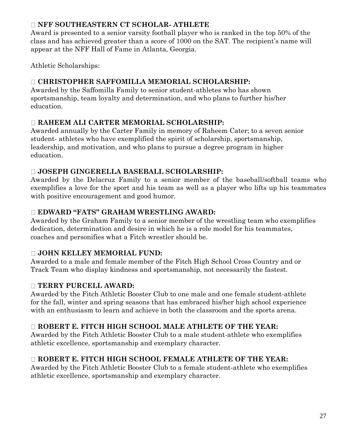# **NFF SOUTHEASTERN CT SCHOLAR- ATHLETE**

Award is presented to a senior varsity football player who is ranked in the top 50% of the class and has achieved greater than a score of 1000 on the SAT. The recipient's name will appear at the NFF Hall of Fame in Atlanta, Georgia.

Athletic Scholarships:

# **CHRISTOPHER SAFFOMILLA MEMORIAL SCHOLARSHIP:**

Awarded by the Saffomilla Family to senior student-athletes who has shown sportsmanship, team loyalty and determination, and who plans to further his/her education.

# **RAHEEM ALI CARTER MEMORIAL SCHOLARSHIP:**

Awarded annually by the Carter Family in memory of Raheem Cater; to a seven senior student- athletes who have exemplified the spirit of scholarship, sportsmanship, leadership, and motivation, and who plans to pursue a degree program in higher education.

# **JOSEPH GINGERELLA BASEBALL SCHOLARSHIP:**

Awarded by the Delacruz Family to a senior member of the baseball/softball teams who exemplifies a love for the sport and his team as well as a player who lifts up his teammates with positive encouragement and good humor.

# **EDWARD "FATS" GRAHAM WRESTLING AWARD:**

Awarded by the Graham Family to a senior member of the wrestling team who exemplifies dedication, determination and desire in which he is a role model for his teammates, coaches and personifies what a Fitch wrestler should be.

# **JOHN KELLEY MEMORIAL FUND:**

Awarded to a male and female member of the Fitch High School Cross Country and or Track Team who display kindness and sportsmanship, not necessarily the fastest.

# **TERRY PURCELL AWARD:**

Awarded by the Fitch Athletic Booster Club to one male and one female student-athlete for the fall, winter and spring seasons that has embraced his/her high school experience with an enthusiasm to learn and achieve in both the classroom and the sports arena.

# **ROBERT E. FITCH HIGH SCHOOL MALE ATHLETE OF THE YEAR:**

Awarded by the Fitch Athletic Booster Club to a male student-athlete who exemplifies athletic excellence, sportsmanship and exemplary character.

# **ROBERT E. FITCH HIGH SCHOOL FEMALE ATHLETE OF THE YEAR:**

Awarded by the Fitch Athletic Booster Club to a female student-athlete who exemplifies athletic excellence, sportsmanship and exemplary character.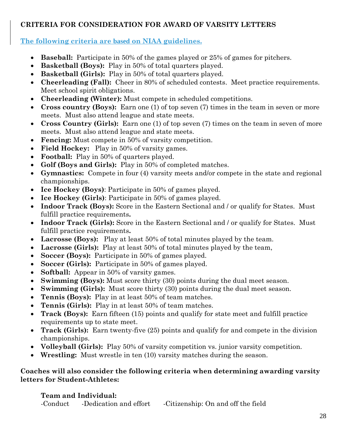# **CRITERIA FOR CONSIDERATION FOR AWARD OF VARSITY LETTERS**

# **The following criteria are based on NIAA guidelines.**

- **Baseball:** Participate in 50% of the games played or 25% of games for pitchers.
- **Basketball (Boys):** Play in 50% of total quarters played.
- **Basketball (Girls):** Play in 50% of total quarters played.
- **Cheerleading (Fall):** Cheer in 80% of scheduled contests. Meet practice requirements. Meet school spirit obligations.
- **Cheerleading (Winter):** Must compete in scheduled competitions.
- **Cross country (Boys):** Earn one (1) of top seven (7) times in the team in seven or more meets. Must also attend league and state meets.
- **Cross Country (Girls):** Earn one (1) of top seven (7) times on the team in seven of more meets. Must also attend league and state meets.
- **Fencing:** Must compete in 50% of varsity competition.
- **Field Hockey:** Play in 50% of varsity games.
- **Football:** Play in 50% of quarters played.
- **Golf (Boys and Girls):** Play in 50% of completed matches.
- **Gymnastics:** Compete in four (4) varsity meets and/or compete in the state and regional championships.
- **Ice Hockey (Boys)**: Participate in 50% of games played.
- **Ice Hockey (Girls)**: Participate in 50% of games played.
- Indoor Track (Boys): Score in the Eastern Sectional and / or qualify for States. Must fulfill practice requirements**.**
- Indoor Track (Girls): Score in the Eastern Sectional and / or qualify for States. Must fulfill practice requirements**.**
- **Lacrosse (Boys):** Play at least 50% of total minutes played by the team.
- **Lacrosse (Girls):** Play at least 50% of total minutes played by the team,
- **Soccer (Boys):** Participate in 50% of games played.
- **Soccer (Girls):** Participate in 50% of games played.
- **Softball:** Appear in 50% of varsity games.
- **Swimming (Boys):** Must score thirty (30) points during the dual meet season.
- **Swimming (Girls):** Must score thirty (30) points during the dual meet season.
- **Tennis (Boys):** Play in at least 50% of team matches.
- **Tennis (Girls):** Play in at least 50% of team matches.
- **Track (Boys):** Earn fifteen (15) points and qualify for state meet and fulfill practice requirements up to state meet.
- **Track (Girls):** Earn twenty-five (25) points and qualify for and compete in the division championships.
- **Volleyball (Girls):** Play 50% of varsity competition vs. junior varsity competition.
- **Wrestling:** Must wrestle in ten (10) varsity matches during the season.

# **Coaches will also consider the following criteria when determining awarding varsity letters for Student-Athletes:**

# **Team and Individual:**

-Conduct -Dedication and effort -Citizenship: On and off the field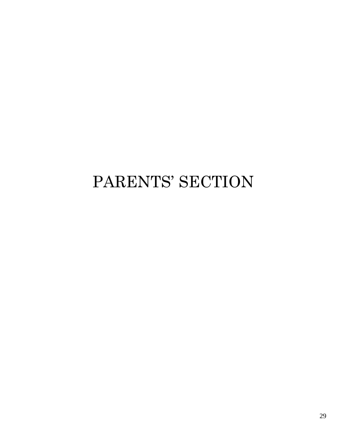# PARENTS' SECTION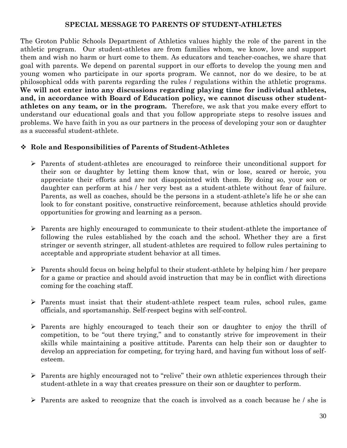# **SPECIAL MESSAGE TO PARENTS OF STUDENT-ATHLETES**

The Groton Public Schools Department of Athletics values highly the role of the parent in the athletic program. Our student-athletes are from families whom, we know, love and support them and wish no harm or hurt come to them. As educators and teacher-coaches, we share that goal with parents. We depend on parental support in our efforts to develop the young men and young women who participate in our sports program. We cannot, nor do we desire, to be at philosophical odds with parents regarding the rules / regulations within the athletic programs. **We will not enter into any discussions regarding playing time for individual athletes, and, in accordance with Board of Education policy, we cannot discuss other studentathletes on any team, or in the program.** Therefore, we ask that you make every effort to understand our educational goals and that you follow appropriate steps to resolve issues and problems. We have faith in you as our partners in the process of developing your son or daughter as a successful student-athlete.

# **Role and Responsibilities of Parents of Student-Athletes**

- $\triangleright$  Parents of student-athletes are encouraged to reinforce their unconditional support for their son or daughter by letting them know that, win or lose, scared or heroic, you appreciate their efforts and are not disappointed with them. By doing so, your son or daughter can perform at his / her very best as a student-athlete without fear of failure. Parents, as well as coaches, should be the persons in a student-athlete's life he or she can look to for constant positive, constructive reinforcement, because athletics should provide opportunities for growing and learning as a person.
- $\triangleright$  Parents are highly encouraged to communicate to their student-athlete the importance of following the rules established by the coach and the school. Whether they are a first stringer or seventh stringer, all student-athletes are required to follow rules pertaining to acceptable and appropriate student behavior at all times.
- $\triangleright$  Parents should focus on being helpful to their student-athlete by helping him / her prepare for a game or practice and should avoid instruction that may be in conflict with directions coming for the coaching staff.
- $\triangleright$  Parents must insist that their student-athlete respect team rules, school rules, game officials, and sportsmanship. Self-respect begins with self-control.
- Parents are highly encouraged to teach their son or daughter to enjoy the thrill of competition, to be "out there trying," and to constantly strive for improvement in their skills while maintaining a positive attitude. Parents can help their son or daughter to develop an appreciation for competing, for trying hard, and having fun without loss of selfesteem.
- $\triangleright$  Parents are highly encouraged not to "relive" their own athletic experiences through their student-athlete in a way that creates pressure on their son or daughter to perform.
- $\triangleright$  Parents are asked to recognize that the coach is involved as a coach because he / she is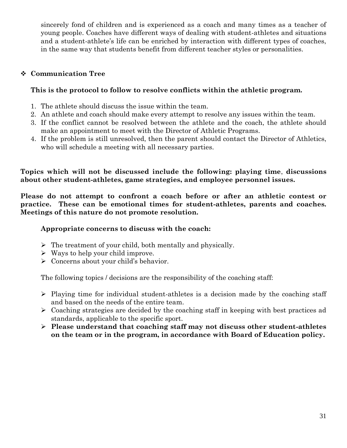sincerely fond of children and is experienced as a coach and many times as a teacher of young people. Coaches have different ways of dealing with student-athletes and situations and a student-athlete's life can be enriched by interaction with different types of coaches, in the same way that students benefit from different teacher styles or personalities.

# **Communication Tree**

# **This is the protocol to follow to resolve conflicts within the athletic program.**

- 1. The athlete should discuss the issue within the team.
- 2. An athlete and coach should make every attempt to resolve any issues within the team.
- 3. If the conflict cannot be resolved between the athlete and the coach, the athlete should make an appointment to meet with the Director of Athletic Programs.
- 4. If the problem is still unresolved, then the parent should contact the Director of Athletics, who will schedule a meeting with all necessary parties.

**Topics which will not be discussed include the following: playing time**, **discussions about other student-athletes, game strategies, and employee personnel issues.**

**Please do not attempt to confront a coach before or after an athletic contest or practice. These can be emotional times for student-athletes, parents and coaches. Meetings of this nature do not promote resolution.**

# **Appropriate concerns to discuss with the coach:**

- $\triangleright$  The treatment of your child, both mentally and physically.
- $\triangleright$  Ways to help your child improve.
- $\triangleright$  Concerns about your child's behavior.

The following topics / decisions are the responsibility of the coaching staff:

- $\triangleright$  Playing time for individual student-athletes is a decision made by the coaching staff and based on the needs of the entire team.
- $\triangleright$  Coaching strategies are decided by the coaching staff in keeping with best practices ad standards, applicable to the specific sport.
- **Please understand that coaching staff may not discuss other student-athletes on the team or in the program, in accordance with Board of Education policy.**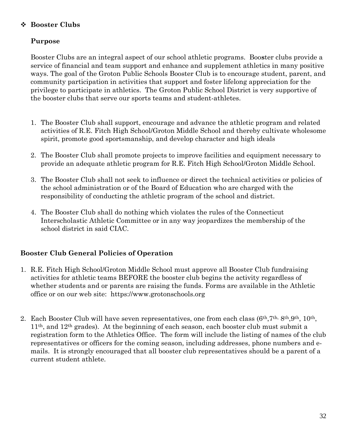# **Booster Clubs**

# **Purpose**

Booster Clubs are an integral aspect of our school athletic programs. Boo**s**ter clubs provide a service of financial and team support and enhance and supplement athletics in many positive ways. The goal of the Groton Public Schools Booster Club is to encourage student, parent, and community participation in activities that support and foster lifelong appreciation for the privilege to participate in athletics. The Groton Public School District is very supportive of the booster clubs that serve our sports teams and student-athletes.

- 1. The Booster Club shall support, encourage and advance the athletic program and related activities of R.E. Fitch High School/Groton Middle School and thereby cultivate wholesome spirit, promote good sportsmanship, and develop character and high ideals
- 2. The Booster Club shall promote projects to improve facilities and equipment necessary to provide an adequate athletic program for R.E. Fitch High School/Groton Middle School.
- 3. The Booster Club shall not seek to influence or direct the technical activities or policies of the school administration or of the Board of Education who are charged with the responsibility of conducting the athletic program of the school and district.
- 4. The Booster Club shall do nothing which violates the rules of the Connecticut Interscholastic Athletic Committee or in any way jeopardizes the membership of the school district in said CIAC.

# **Booster Club General Policies of Operation**

- 1. R.E. Fitch High School/Groton Middle School must approve all Booster Club fundraising activities for athletic teams BEFORE the booster club begins the activity regardless of whether students and or parents are raising the funds. Forms are available in the Athletic office or on our web site: https://www.grotonschools.org
- 2. Each Booster Club will have seven representatives, one from each class  $(6th, 7th, 8th, 9th, 10th, 10th)$ 11th, and 12th grades). At the beginning of each season, each booster club must submit a registration form to the Athletics Office. The form will include the listing of names of the club representatives or officers for the coming season, including addresses, phone numbers and emails. It is strongly encouraged that all booster club representatives should be a parent of a current student athlete.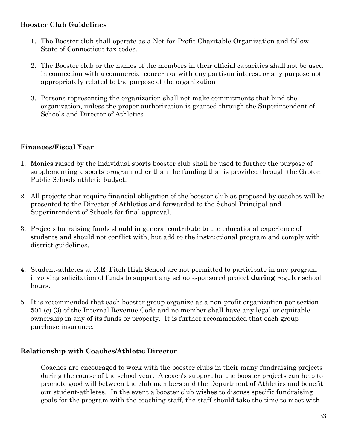# **Booster Club Guidelines**

- 1. The Booster club shall operate as a Not-for-Profit Charitable Organization and follow State of Connecticut tax codes.
- 2. The Booster club or the names of the members in their official capacities shall not be used in connection with a commercial concern or with any partisan interest or any purpose not appropriately related to the purpose of the organization
- 3. Persons representing the organization shall not make commitments that bind the organization, unless the proper authorization is granted through the Superintendent of Schools and Director of Athletics

# **Finances/Fiscal Year**

- 1. Monies raised by the individual sports booster club shall be used to further the purpose of supplementing a sports program other than the funding that is provided through the Groton Public Schools athletic budget.
- 2. All projects that require financial obligation of the booster club as proposed by coaches will be presented to the Director of Athletics and forwarded to the School Principal and Superintendent of Schools for final approval.
- 3. Projects for raising funds should in general contribute to the educational experience of students and should not conflict with, but add to the instructional program and comply with district guidelines.
- 4. Student-athletes at R.E. Fitch High School are not permitted to participate in any program involving solicitation of funds to support any school-sponsored project **during** regular school hours.
- 5. It is recommended that each booster group organize as a non-profit organization per section 501 (c) (3) of the Internal Revenue Code and no member shall have any legal or equitable ownership in any of its funds or property. It is further recommended that each group purchase insurance.

# **Relationship with Coaches/Athletic Director**

Coaches are encouraged to work with the booster clubs in their many fundraising projects during the course of the school year. A coach's support for the booster projects can help to promote good will between the club members and the Department of Athletics and benefit our student-athletes. In the event a booster club wishes to discuss specific fundraising goals for the program with the coaching staff, the staff should take the time to meet with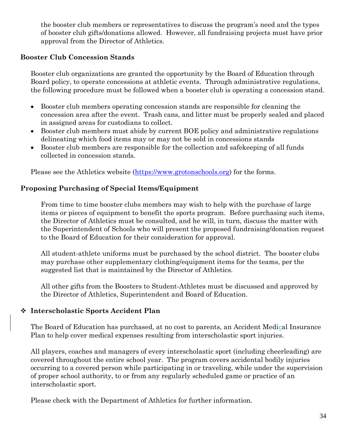the booster club members or representatives to discuss the program's need and the types of booster club gifts/donations allowed. However, all fundraising projects must have prior approval from the Director of Athletics.

# **Booster Club Concession Stands**

Booster club organizations are granted the opportunity by the Board of Education through Board policy, to operate concessions at athletic events. Through administrative regulations, the following procedure must be followed when a booster club is operating a concession stand.

- Booster club members operating concession stands are responsible for cleaning the concession area after the event. Trash cans, and litter must be properly sealed and placed in assigned areas for custodians to collect.
- Booster club members must abide by current BOE policy and administrative regulations delineating which food items may or may not be sold in concessions stands
- Booster club members are responsible for the collection and safekeeping of all funds collected in concession stands.

Please see the Athletics website [\(https://www.grotonschools.org\)](https://www.grotonschools.org/) for the forms.

# **Proposing Purchasing of Special Items/Equipment**

From time to time booster clubs members may wish to help with the purchase of large items or pieces of equipment to benefit the sports program. Before purchasing such items, the Director of Athletics must be consulted, and he will, in turn, discuss the matter with the Superintendent of Schools who will present the proposed fundraising/donation request to the Board of Education for their consideration for approval.

All student-athlete uniforms must be purchased by the school district. The booster clubs may purchase other supplementary clothing/equipment items for the teams, per the suggested list that is maintained by the Director of Athletics.

All other gifts from the Boosters to Student-Athletes must be discussed and approved by the Director of Athletics, Superintendent and Board of Education.

# **Interscholastic Sports Accident Plan**

The Board of Education has purchased, at no cost to parents, an Accident Medical Insurance Plan to help cover medical expenses resulting from interscholastic sport injuries.

All players, coaches and managers of every interscholastic sport (including cheerleading) are covered throughout the entire school year. The program covers accidental bodily injuries occurring to a covered person while participating in or traveling, while under the supervision of proper school authority, to or from any regularly scheduled game or practice of an interscholastic sport.

Please check with the Department of Athletics for further information.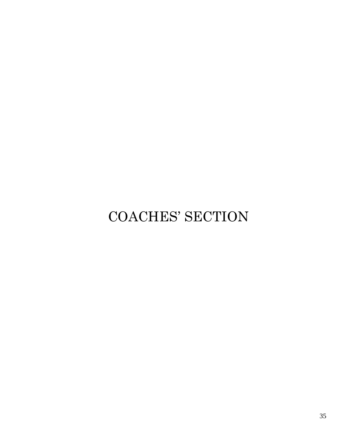# COACHES' SECTION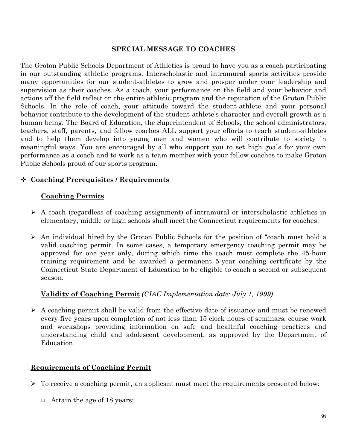#### **SPECIAL MESSAGE TO COACHES**

The Groton Public Schools Department of Athletics is proud to have you as a coach participating in our outstanding athletic programs. Interscholastic and intramural sports activities provide many opportunities for our student-athletes to grow and prosper under your leadership and supervision as their coaches. As a coach, your performance on the field and your behavior and actions off the field reflect on the entire athletic program and the reputation of the Groton Public Schools. In the role of coach, your attitude toward the student-athlete and your personal behavior contribute to the development of the student-athlete's character and overall growth as a human being. The Board of Education, the Superintendent of Schools, the school administrators, teachers, staff, parents, and fellow coaches ALL support your efforts to teach student-athletes and to help them develop into young men and women who will contribute to society in meaningful ways. You are encouraged by all who support you to set high goals for your own performance as a coach and to work as a team member with your fellow coaches to make Groton Public Schools proud of our sports program.

# **Coaching Prerequisites / Requirements**

### **Coaching Permits**

- $\triangleright$  A coach (regardless of coaching assignment) of intramural or interscholastic athletics in elementary, middle or high schools shall meet the Connecticut requirements for coaches.
- $\triangleright$  An individual hired by the Groton Public Schools for the position of "coach must hold a valid coaching permit. In some cases, a temporary emergency coaching permit may be approved for one year only, during which time the coach must complete the 45-hour training requirement and be awarded a permanent 5-year coaching certificate by the Connecticut State Department of Education to be eligible to coach a second or subsequent season.

# **Validity of Coaching Permit** *(CIAC Implementation date: July 1, 1999)*

 $\triangleright$  A coaching permit shall be valid from the effective date of issuance and must be renewed every five years upon completion of not less than 15 clock hours of seminars, course work and workshops providing information on safe and healthful coaching practices and understanding child and adolescent development, as approved by the Department of Education.

#### **Requirements of Coaching Permit**

- $\triangleright$  To receive a coaching permit, an applicant must meet the requirements presented below:
	- Attain the age of 18 years;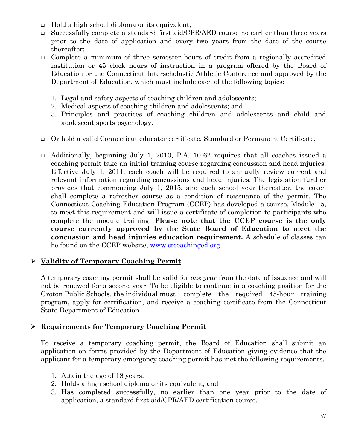- Hold a high school diploma or its equivalent;
- Successfully complete a standard first aid/CPR/AED course no earlier than three years prior to the date of application and every two years from the date of the course thereafter;
- Complete a minimum of three semester hours of credit from a regionally accredited institution or 45 clock hours of instruction in a program offered by the Board of Education or the Connecticut Interscholastic Athletic Conference and approved by the Department of Education, which must include each of the following topics:
	- 1. Legal and safety aspects of coaching children and adolescents;
	- 2. Medical aspects of coaching children and adolescents; and
	- 3. Principles and practices of coaching children and adolescents and child and adolescent sports psychology.
- Or hold a valid Connecticut educator certificate, Standard or Permanent Certificate.
- Additionally, beginning July 1, 2010, P.A. 10-62 requires that all coaches issued a coaching permit take an initial training course regarding concussion and head injuries. Effective July 1, 2011, each coach will be required to annually review current and relevant information regarding concussions and head injuries. The legislation further provides that commencing July 1, 2015, and each school year thereafter, the coach shall complete a refresher course as a condition of reissuance of the permit. The Connecticut Coaching Education Program (CCEP) has developed a course, Module 15, to meet this requirement and will issue a certificate of completion to participants who complete the module training. **Please note that the CCEP course is the only course currently approved by the State Board of Education to meet the concussion and head injuries education requirement.** A schedule of classes can be found on the CCEP website, [www.ctcoachinged.org](http://www.ctcoachinged.org/)

# **Validity of Temporary Coaching Permit**

A temporary coaching permit shall be valid for *one year* from the date of issuance and will not be renewed for a second year. To be eligible to continue in a coaching position for the Groton Public Schools, the individual must complete the required 45-hour training program, apply for certification, and receive a coaching certificate from the Connecticut State Department of Education..

# **Requirements for Temporary Coaching Permit**

To receive a temporary coaching permit, the Board of Education shall submit an application on forms provided by the Department of Education giving evidence that the applicant for a temporary emergency coaching permit has met the following requirements.

- 1. Attain the age of 18 years;
- 2. Holds a high school diploma or its equivalent; and
- 3. Has completed successfully, no earlier than one year prior to the date of application, a standard first aid/CPR/AED certification course.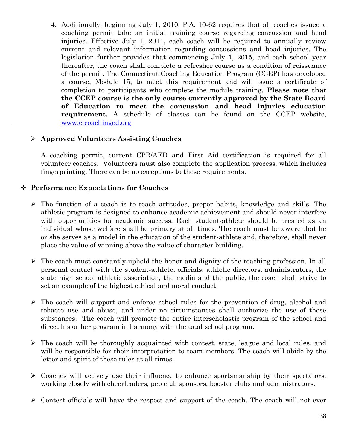4. Additionally, beginning July 1, 2010, P.A. 10-62 requires that all coaches issued a coaching permit take an initial training course regarding concussion and head injuries. Effective July 1, 2011, each coach will be required to annually review current and relevant information regarding concussions and head injuries. The legislation further provides that commencing July 1, 2015, and each school year thereafter, the coach shall complete a refresher course as a condition of reissuance of the permit. The Connecticut Coaching Education Program (CCEP) has developed a course, Module 15, to meet this requirement and will issue a certificate of completion to participants who complete the module training. **Please note that the CCEP course is the only course currently approved by the State Board of Education to meet the concussion and head injuries education requirement.** A schedule of classes can be found on the CCEP website, [www.ctcoachinged.org](http://www.ctcoachinged.org/)

# **Approved Volunteers Assisting Coaches**

A coaching permit, current CPR/AED and First Aid certification is required for all volunteer coaches. Volunteers must also complete the application process, which includes fingerprinting. There can be no exceptions to these requirements.

# **Performance Expectations for Coaches**

- $\triangleright$  The function of a coach is to teach attitudes, proper habits, knowledge and skills. The athletic program is designed to enhance academic achievement and should never interfere with opportunities for academic success. Each student-athlete should be treated as an individual whose welfare shall be primary at all times. The coach must be aware that he or she serves as a model in the education of the student-athlete and, therefore, shall never place the value of winning above the value of character building.
- $\triangleright$  The coach must constantly uphold the honor and dignity of the teaching profession. In all personal contact with the student-athlete, officials, athletic directors, administrators, the state high school athletic association, the media and the public, the coach shall strive to set an example of the highest ethical and moral conduct.
- $\triangleright$  The coach will support and enforce school rules for the prevention of drug, alcohol and tobacco use and abuse, and under no circumstances shall authorize the use of these substances. The coach will promote the entire interscholastic program of the school and direct his or her program in harmony with the total school program.
- $\triangleright$  The coach will be thoroughly acquainted with contest, state, league and local rules, and will be responsible for their interpretation to team members. The coach will abide by the letter and spirit of these rules at all times.
- $\triangleright$  Coaches will actively use their influence to enhance sportsmanship by their spectators, working closely with cheerleaders, pep club sponsors, booster clubs and administrators.
- $\geq$  Contest officials will have the respect and support of the coach. The coach will not ever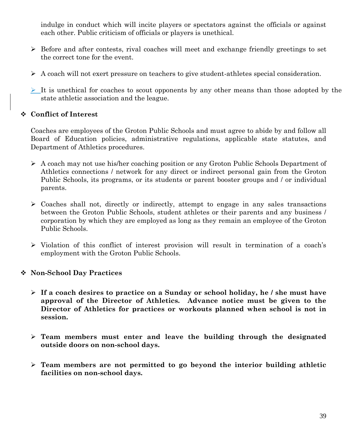indulge in conduct which will incite players or spectators against the officials or against each other. Public criticism of officials or players is unethical.

- $\triangleright$  Before and after contests, rival coaches will meet and exchange friendly greetings to set the correct tone for the event.
- A coach will not exert pressure on teachers to give student-athletes special consideration.
- $\geq$  It is unethical for coaches to scout opponents by any other means than those adopted by the state athletic association and the league.

# **Conflict of Interest**

Coaches are employees of the Groton Public Schools and must agree to abide by and follow all Board of Education policies, administrative regulations, applicable state statutes, and Department of Athletics procedures.

- $\triangleright$  A coach may not use his/her coaching position or any Groton Public Schools Department of Athletics connections / network for any direct or indirect personal gain from the Groton Public Schools, its programs, or its students or parent booster groups and / or individual parents.
- $\triangleright$  Coaches shall not, directly or indirectly, attempt to engage in any sales transactions between the Groton Public Schools, student athletes or their parents and any business / corporation by which they are employed as long as they remain an employee of the Groton Public Schools.
- Violation of this conflict of interest provision will result in termination of a coach's employment with the Groton Public Schools.

# **Non-School Day Practices**

- **If a coach desires to practice on a Sunday or school holiday, he / she must have approval of the Director of Athletics. Advance notice must be given to the Director of Athletics for practices or workouts planned when school is not in session.**
- **Team members must enter and leave the building through the designated outside doors on non-school days.**
- **Team members are not permitted to go beyond the interior building athletic facilities on non-school days.**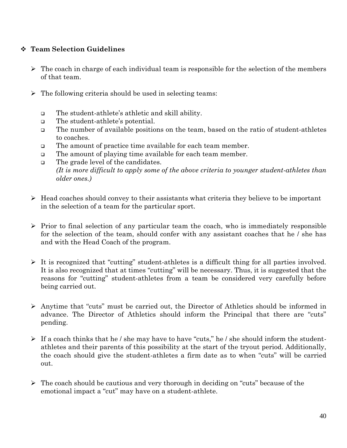# **Team Selection Guidelines**

- $\triangleright$  The coach in charge of each individual team is responsible for the selection of the members of that team.
- $\triangleright$  The following criteria should be used in selecting teams:
	- The student-athlete's athletic and skill ability.
	- □ The student-athlete's potential.
	- The number of available positions on the team, based on the ratio of student-athletes to coaches.
	- The amount of practice time available for each team member.
	- The amount of playing time available for each team member.
	- The grade level of the candidates. *(It is more difficult to apply some of the above criteria to younger student-athletes than older ones.)*
- $\triangleright$  Head coaches should convey to their assistants what criteria they believe to be important in the selection of a team for the particular sport.
- $\triangleright$  Prior to final selection of any particular team the coach, who is immediately responsible for the selection of the team, should confer with any assistant coaches that he / she has and with the Head Coach of the program.
- $\triangleright$  It is recognized that "cutting" student-athletes is a difficult thing for all parties involved. It is also recognized that at times "cutting" will be necessary. Thus, it is suggested that the reasons for "cutting" student-athletes from a team be considered very carefully before being carried out.
- Anytime that "cuts" must be carried out, the Director of Athletics should be informed in advance. The Director of Athletics should inform the Principal that there are "cuts" pending.
- $\triangleright$  If a coach thinks that he / she may have to have "cuts," he / she should inform the studentathletes and their parents of this possibility at the start of the tryout period. Additionally, the coach should give the student-athletes a firm date as to when "cuts" will be carried out.
- $\triangleright$  The coach should be cautious and very thorough in deciding on "cuts" because of the emotional impact a "cut" may have on a student-athlete.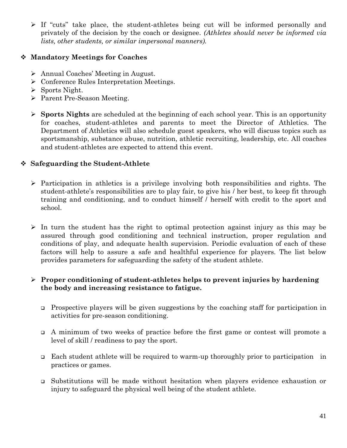$\triangleright$  If "cuts" take place, the student-athletes being cut will be informed personally and privately of the decision by the coach or designee. *(Athletes should never be informed via lists, other students, or similar impersonal manners).*

# **Mandatory Meetings for Coaches**

- Annual Coaches' Meeting in August.
- $\triangleright$  Conference Rules Interpretation Meetings.
- $\triangleright$  Sports Night.
- ▶ Parent Pre-Season Meeting.
- **Sports Nights** are scheduled at the beginning of each school year. This is an opportunity for coaches, student-athletes and parents to meet the Director of Athletics. The Department of Athletics will also schedule guest speakers, who will discuss topics such as sportsmanship, substance abuse, nutrition, athletic recruiting, leadership, etc. All coaches and student-athletes are expected to attend this event.

# **Safeguarding the Student-Athlete**

- $\triangleright$  Participation in athletics is a privilege involving both responsibilities and rights. The student-athlete's responsibilities are to play fair, to give his / her best, to keep fit through training and conditioning, and to conduct himself / herself with credit to the sport and school.
- $\triangleright$  In turn the student has the right to optimal protection against injury as this may be assured through good conditioning and technical instruction, proper regulation and conditions of play, and adequate health supervision. Periodic evaluation of each of these factors will help to assure a safe and healthful experience for players. The list below provides parameters for safeguarding the safety of the student athlete.

# **Proper conditioning of student-athletes helps to prevent injuries by hardening the body and increasing resistance to fatigue.**

- Prospective players will be given suggestions by the coaching staff for participation in activities for pre-season conditioning.
- A minimum of two weeks of practice before the first game or contest will promote a level of skill / readiness to pay the sport.
- Each student athlete will be required to warm-up thoroughly prior to participation in practices or games.
- Substitutions will be made without hesitation when players evidence exhaustion or injury to safeguard the physical well being of the student athlete.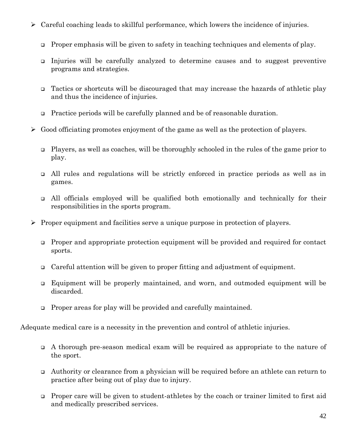- $\triangleright$  Careful coaching leads to skillful performance, which lowers the incidence of injuries.
	- Proper emphasis will be given to safety in teaching techniques and elements of play.
	- Injuries will be carefully analyzed to determine causes and to suggest preventive programs and strategies.
	- Tactics or shortcuts will be discouraged that may increase the hazards of athletic play and thus the incidence of injuries.
	- Practice periods will be carefully planned and be of reasonable duration.
- $\triangleright$  Good officiating promotes enjoyment of the game as well as the protection of players.
	- Players, as well as coaches, will be thoroughly schooled in the rules of the game prior to play.
	- All rules and regulations will be strictly enforced in practice periods as well as in games.
	- All officials employed will be qualified both emotionally and technically for their responsibilities in the sports program.
- $\triangleright$  Proper equipment and facilities serve a unique purpose in protection of players.
	- Proper and appropriate protection equipment will be provided and required for contact sports.
	- Careful attention will be given to proper fitting and adjustment of equipment.
	- Equipment will be properly maintained, and worn, and outmoded equipment will be discarded.
	- Proper areas for play will be provided and carefully maintained.

Adequate medical care is a necessity in the prevention and control of athletic injuries.

- A thorough pre-season medical exam will be required as appropriate to the nature of the sport.
- Authority or clearance from a physician will be required before an athlete can return to practice after being out of play due to injury.
- Proper care will be given to student-athletes by the coach or trainer limited to first aid and medically prescribed services.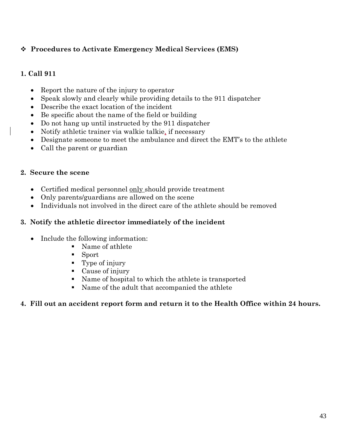# **Procedures to Activate Emergency Medical Services (EMS)**

# **1. Call 911**

- Report the nature of the injury to operator
- Speak slowly and clearly while providing details to the 911 dispatcher
- Describe the exact location of the incident
- Be specific about the name of the field or building
- Do not hang up until instructed by the 911 dispatcher
- Notify athletic trainer via walkie talkie, if necessary
- Designate someone to meet the ambulance and direct the EMT's to the athlete
- Call the parent or guardian

# **2. Secure the scene**

- Certified medical personnel only should provide treatment
- Only parents/guardians are allowed on the scene
- Individuals not involved in the direct care of the athlete should be removed

# **3. Notify the athletic director immediately of the incident**

- Include the following information:
	- Name of athlete
	- Sport
	- Type of injury
	- Cause of injury
	- Name of hospital to which the athlete is transported
	- Name of the adult that accompanied the athlete

# **4. Fill out an accident report form and return it to the Health Office within 24 hours.**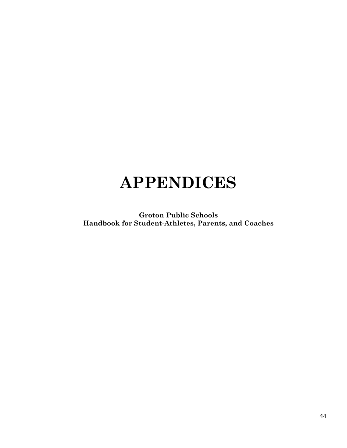# **APPENDICES**

**Groton Public Schools Handbook for Student-Athletes, Parents, and Coaches**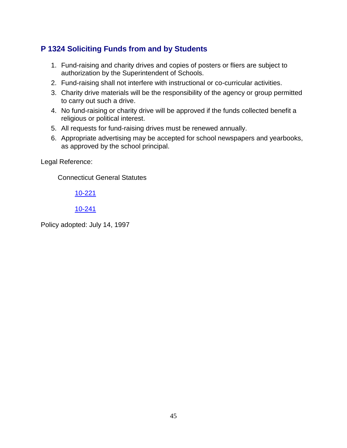# **P 1324 Soliciting Funds from and by Students**

- 1. Fund-raising and charity drives and copies of posters or fliers are subject to authorization by the Superintendent of Schools.
- 2. Fund-raising shall not interfere with instructional or co-curricular activities.
- 3. Charity drive materials will be the responsibility of the agency or group permitted to carry out such a drive.
- 4. No fund-raising or charity drive will be approved if the funds collected benefit a religious or political interest.
- 5. All requests for fund-raising drives must be renewed annually.
- 6. Appropriate advertising may be accepted for school newspapers and yearbooks, as approved by the school principal.

Legal Reference:

Connecticut General Statutes

[10-221](http://redirector.microscribepub.com/?cat=stat&loc=ct&id=10&spec=221)

### [10-241](http://redirector.microscribepub.com/?cat=stat&loc=ct&id=10&spec=241)

Policy adopted: July 14, 1997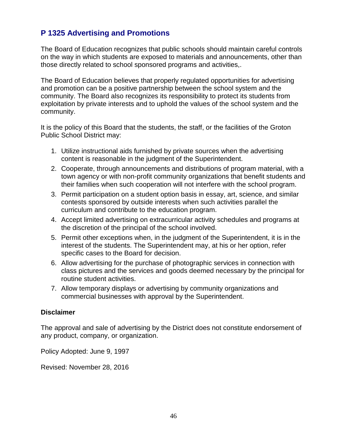# **P 1325 Advertising and Promotions**

The Board of Education recognizes that public schools should maintain careful controls on the way in which students are exposed to materials and announcements, other than those directly related to school sponsored programs and activities,.

The Board of Education believes that properly regulated opportunities for advertising and promotion can be a positive partnership between the school system and the community. The Board also recognizes its responsibility to protect its students from exploitation by private interests and to uphold the values of the school system and the community.

It is the policy of this Board that the students, the staff, or the facilities of the Groton Public School District may:

- 1. Utilize instructional aids furnished by private sources when the advertising content is reasonable in the judgment of the Superintendent.
- 2. Cooperate, through announcements and distributions of program material, with a town agency or with non-profit community organizations that benefit students and their families when such cooperation will not interfere with the school program.
- 3. Permit participation on a student option basis in essay, art, science, and similar contests sponsored by outside interests when such activities parallel the curriculum and contribute to the education program.
- 4. Accept limited advertising on extracurricular activity schedules and programs at the discretion of the principal of the school involved.
- 5. Permit other exceptions when, in the judgment of the Superintendent, it is in the interest of the students. The Superintendent may, at his or her option, refer specific cases to the Board for decision.
- 6. Allow advertising for the purchase of photographic services in connection with class pictures and the services and goods deemed necessary by the principal for routine student activities.
- 7. Allow temporary displays or advertising by community organizations and commercial businesses with approval by the Superintendent.

#### **Disclaimer**

The approval and sale of advertising by the District does not constitute endorsement of any product, company, or organization.

Policy Adopted: June 9, 1997

Revised: November 28, 2016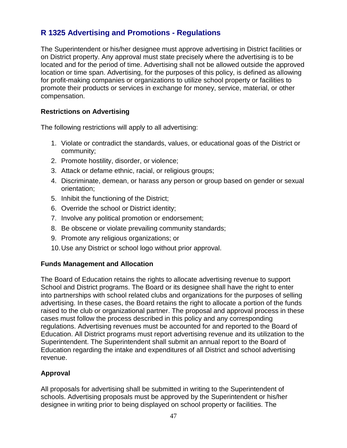# **R 1325 Advertising and Promotions - Regulations**

The Superintendent or his/her designee must approve advertising in District facilities or on District property. Any approval must state precisely where the advertising is to be located and for the period of time. Advertising shall not be allowed outside the approved location or time span. Advertising, for the purposes of this policy, is defined as allowing for profit-making companies or organizations to utilize school property or facilities to promote their products or services in exchange for money, service, material, or other compensation.

# **Restrictions on Advertising**

The following restrictions will apply to all advertising:

- 1. Violate or contradict the standards, values, or educational goas of the District or community;
- 2. Promote hostility, disorder, or violence;
- 3. Attack or defame ethnic, racial, or religious groups;
- 4. Discriminate, demean, or harass any person or group based on gender or sexual orientation;
- 5. Inhibit the functioning of the District;
- 6. Override the school or District identity;
- 7. Involve any political promotion or endorsement;
- 8. Be obscene or violate prevailing community standards;
- 9. Promote any religious organizations; or
- 10.Use any District or school logo without prior approval.

#### **Funds Management and Allocation**

The Board of Education retains the rights to allocate advertising revenue to support School and District programs. The Board or its designee shall have the right to enter into partnerships with school related clubs and organizations for the purposes of selling advertising. In these cases, the Board retains the right to allocate a portion of the funds raised to the club or organizational partner. The proposal and approval process in these cases must follow the process described in this policy and any corresponding regulations. Advertising revenues must be accounted for and reported to the Board of Education. All District programs must report advertising revenue and its utilization to the Superintendent. The Superintendent shall submit an annual report to the Board of Education regarding the intake and expenditures of all District and school advertising revenue.

# **Approval**

All proposals for advertising shall be submitted in writing to the Superintendent of schools. Advertising proposals must be approved by the Superintendent or his/her designee in writing prior to being displayed on school property or facilities. The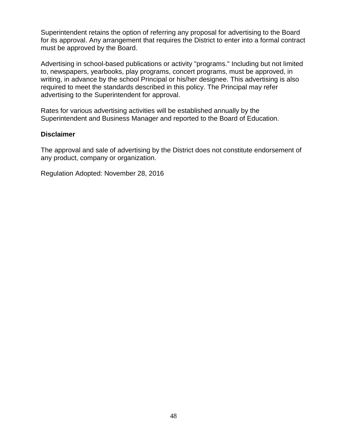Superintendent retains the option of referring any proposal for advertising to the Board for its approval. Any arrangement that requires the District to enter into a formal contract must be approved by the Board.

Advertising in school-based publications or activity "programs." Including but not limited to, newspapers, yearbooks, play programs, concert programs, must be approved, in writing, in advance by the school Principal or his/her designee. This advertising is also required to meet the standards described in this policy. The Principal may refer advertising to the Superintendent for approval.

Rates for various advertising activities will be established annually by the Superintendent and Business Manager and reported to the Board of Education.

#### **Disclaimer**

The approval and sale of advertising by the District does not constitute endorsement of any product, company or organization.

Regulation Adopted: November 28, 2016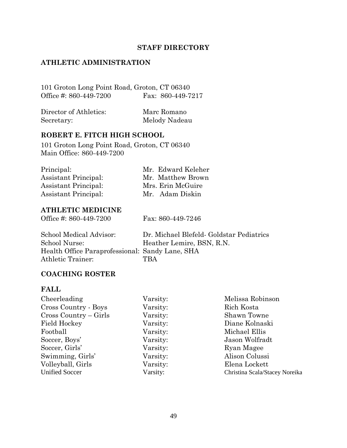# **STAFF DIRECTORY**

#### **ATHLETIC ADMINISTRATION**

101 Groton Long Point Road, Groton, CT 06340 Office #: 860-449-7200 Fax: 860-449-7217

| Director of Athletics: | Marc Romano   |
|------------------------|---------------|
| Secretary:             | Melody Nadeau |

#### **ROBERT E. FITCH HIGH SCHOOL**

101 Groton Long Point Road, Groton, CT 06340 Main Office: 860-449-7200

| Principal:                  | Mr. Edward Keleher |
|-----------------------------|--------------------|
| <b>Assistant Principal:</b> | Mr. Matthew Brown  |
| Assistant Principal:        | Mrs. Erin McGuire  |
| <b>Assistant Principal:</b> | Mr. Adam Diskin    |
|                             |                    |

#### **ATHLETIC MEDICINE**

Office #: 860-449-7200 Fax: 860-449-7246

| School Medical Advisor:                         | Dr. Michael Blefeld- Goldstar Pediatrics |
|-------------------------------------------------|------------------------------------------|
| School Nurse:                                   | Heather Lemire, BSN, R.N.                |
| Health Office Paraprofessional: Sandy Lane, SHA |                                          |
| Athletic Trainer:                               | TBA                                      |
|                                                 |                                          |

#### **COACHING ROSTER**

#### **FALL**

| Cheerleading          | Varsity: | Melissa Robinson               |
|-----------------------|----------|--------------------------------|
| Cross Country - Boys  | Varsity: | Rich Kosta                     |
| Cross Country – Girls | Varsity: | Shawn Towne                    |
| <b>Field Hockey</b>   | Varsity: | Diane Kolnaski                 |
| Football              | Varsity: | Michael Ellis                  |
| Soccer, Boys'         | Varsity: | Jason Wolfradt                 |
| Soccer, Girls'        | Varsity: | Ryan Magee                     |
| Swimming, Girls'      | Varsity: | Alison Colussi                 |
| Volleyball, Girls     | Varsity: | Elena Lockett                  |
| <b>Unified Soccer</b> | Varsity: | Christina Scala/Stacey Noreika |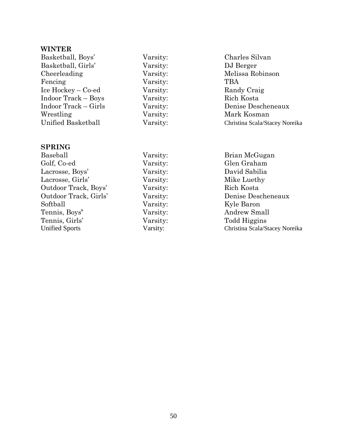# **WINTER**

| Basketball, Boys'                  | Varsity: | Charles Silvan                 |
|------------------------------------|----------|--------------------------------|
| Basketball, Girls'                 | Varsity: | DJ Berger                      |
| Cheerleading                       | Varsity: | Melissa Robinson               |
| Fencing                            | Varsity: | <b>TBA</b>                     |
| $Ice \text{Hockey} - \text{Co-ed}$ | Varsity: | Randy Craig                    |
| <b>Indoor Track – Boys</b>         | Varsity: | Rich Kosta                     |
| Indoor Track – Girls               | Varsity: | Denise Descheneaux             |
| Wrestling                          | Varsity: | Mark Kosman                    |
| Unified Basketball                 | Varsity: | Christina Scala/Stacey Noreika |
|                                    |          |                                |

# **SPRING**

| Baseball              | Varsity: | Brian McGugan                  |
|-----------------------|----------|--------------------------------|
| Golf, Co-ed           | Varsity: | Glen Graham                    |
| Lacrosse, Boys'       | Varsity: | David Sabilia                  |
| Lacrosse, Girls'      | Varsity: | Mike Luethy                    |
| Outdoor Track, Boys'  | Varsity: | Rich Kosta                     |
| Outdoor Track, Girls' | Varsity: | Denise Descheneaux             |
| Softball              | Varsity: | Kyle Baron                     |
| Tennis, Boys'         | Varsity: | Andrew Small                   |
| Tennis, Girls'        | Varsity: | Todd Higgins                   |
| <b>Unified Sports</b> | Varsity: | Christina Scala/Stacey Noreika |
|                       |          |                                |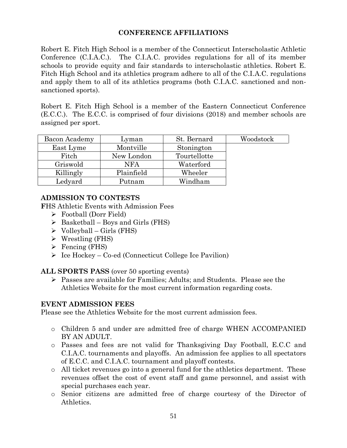# **CONFERENCE AFFILIATIONS**

Robert E. Fitch High School is a member of the Connecticut Interscholastic Athletic Conference (C.I.A.C.). The C.I.A.C. provides regulations for all of its member schools to provide equity and fair standards to interscholastic athletics. Robert E. Fitch High School and its athletics program adhere to all of the C.I.A.C. regulations and apply them to all of its athletics programs (both C.I.A.C. sanctioned and nonsanctioned sports).

Robert E. Fitch High School is a member of the Eastern Connecticut Conference (E.C.C.). The E.C.C. is comprised of four divisions (2018) and member schools are assigned per sport.

| Bacon Academy | Lyman      | St. Bernard  | Woodstock |
|---------------|------------|--------------|-----------|
| East Lyme     | Montville  | Stonington   |           |
| Fitch         | New London | Tourtellotte |           |
| Griswold      | <b>NFA</b> | Waterford    |           |
| Killingly     | Plainfield | Wheeler      |           |
| Ledyard       | Putnam     | Windham      |           |

### **ADMISSION TO CONTESTS**

**F**HS Athletic Events with Admission Fees

- Football (Dorr Field)
- $\triangleright$  Basketball Boys and Girls (FHS)
- $\triangleright$  Volleyball Girls (FHS)
- $\triangleright$  Wrestling (FHS)
- $\triangleright$  Fencing (FHS)
- $\triangleright$  Ice Hockey Co-ed (Connecticut College Ice Pavilion)

**ALL SPORTS PASS** (over 50 sporting events)

 Passes are available for Families; Adults; and Students. Please see the Athletics Website for the most current information regarding costs.

# **EVENT ADMISSION FEES**

Please see the Athletics Website for the most current admission fees.

- o Children 5 and under are admitted free of charge WHEN ACCOMPANIED BY AN ADULT.
- o Passes and fees are not valid for Thanksgiving Day Football, E.C.C and C.I.A.C. tournaments and playoffs. An admission fee applies to all spectators of E.C.C. and C.I.A.C. tournament and playoff contests.
- o All ticket revenues go into a general fund for the athletics department. These revenues offset the cost of event staff and game personnel, and assist with special purchases each year.
- o Senior citizens are admitted free of charge courtesy of the Director of Athletics.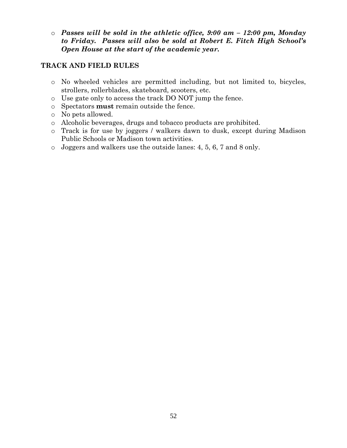o *Passes will be sold in the athletic office, 9:00 am – 12:00 pm, Monday to Friday. Passes will also be sold at Robert E. Fitch High School's Open House at the start of the academic year.*

# **TRACK AND FIELD RULES**

- o No wheeled vehicles are permitted including, but not limited to, bicycles, strollers, rollerblades, skateboard, scooters, etc.
- o Use gate only to access the track DO NOT jump the fence.
- o Spectators **must** remain outside the fence.
- o No pets allowed.
- o Alcoholic beverages, drugs and tobacco products are prohibited.
- o Track is for use by joggers / walkers dawn to dusk, except during Madison Public Schools or Madison town activities.
- o Joggers and walkers use the outside lanes: 4, 5, 6, 7 and 8 only.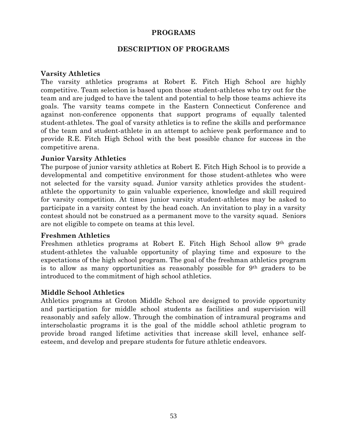### **PROGRAMS**

#### **DESCRIPTION OF PROGRAMS**

#### **Varsity Athletics**

The varsity athletics programs at Robert E. Fitch High School are highly competitive. Team selection is based upon those student-athletes who try out for the team and are judged to have the talent and potential to help those teams achieve its goals. The varsity teams compete in the Eastern Connecticut Conference and against non-conference opponents that support programs of equally talented student-athletes. The goal of varsity athletics is to refine the skills and performance of the team and student-athlete in an attempt to achieve peak performance and to provide R.E. Fitch High School with the best possible chance for success in the competitive arena.

#### **Junior Varsity Athletics**

The purpose of junior varsity athletics at Robert E. Fitch High School is to provide a developmental and competitive environment for those student-athletes who were not selected for the varsity squad. Junior varsity athletics provides the studentathlete the opportunity to gain valuable experience, knowledge and skill required for varsity competition. At times junior varsity student-athletes may be asked to participate in a varsity contest by the head coach. An invitation to play in a varsity contest should not be construed as a permanent move to the varsity squad. Seniors are not eligible to compete on teams at this level.

#### **Freshmen Athletics**

Freshmen athletics programs at Robert E. Fitch High School allow 9th grade student-athletes the valuable opportunity of playing time and exposure to the expectations of the high school program. The goal of the freshman athletics program is to allow as many opportunities as reasonably possible for 9th graders to be introduced to the commitment of high school athletics.

#### **Middle School Athletics**

Athletics programs at Groton Middle School are designed to provide opportunity and participation for middle school students as facilities and supervision will reasonably and safely allow. Through the combination of intramural programs and interscholastic programs it is the goal of the middle school athletic program to provide broad ranged lifetime activities that increase skill level, enhance selfesteem, and develop and prepare students for future athletic endeavors.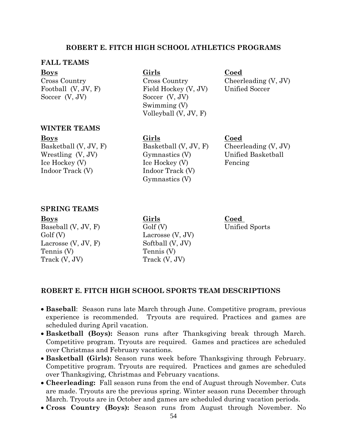#### **ROBERT E. FITCH HIGH SCHOOL ATHLETICS PROGRAMS**

#### **FALL TEAMS**

Soccer (V, JV) Soccer (V, JV)

# **Boys Girls Coed**

Cross Country Cross Country Cheerleading (V, JV) Football (V, JV, F) Field Hockey (V, JV) Unified Soccer Swimming (V) Volleyball (V, JV, F)

#### **WINTER TEAMS**

**Boys Girls Coed**

Wrestling (V, JV) Gymnastics (V) Unified Basketball Ice Hockey (V) Ice Hockey (V) Fencing Indoor Track (V) Indoor Track (V) Gymnastics (V)

Basketball (V, JV, F) Basketball (V, JV, F) Cheerleading (V, JV)

#### **SPRING TEAMS**

Baseball (V, JV, F) Golf (V) Unified Sports Golf (V) Lacrosse (V, JV) Lacrosse  $(V, JV, F)$  Softball  $(V, JV)$ Tennis (V) Tennis (V)  $\text{Track}(V, JV)$  Track  $(V, JV)$ 

**Boys Girls Coed**

#### **ROBERT E. FITCH HIGH SCHOOL SPORTS TEAM DESCRIPTIONS**

- **Baseball**: Season runs late March through June. Competitive program, previous experience is recommended. Tryouts are required. Practices and games are scheduled during April vacation.
- **Basketball (Boys):** Season runs after Thanksgiving break through March. Competitive program. Tryouts are required. Games and practices are scheduled over Christmas and February vacations.
- **Basketball (Girls):** Season runs week before Thanksgiving through February. Competitive program. Tryouts are required. Practices and games are scheduled over Thanksgiving, Christmas and February vacations.
- **Cheerleading:** Fall season runs from the end of August through November. Cuts are made. Tryouts are the previous spring. Winter season runs December through March. Tryouts are in October and games are scheduled during vacation periods.
- **Cross Country (Boys):** Season runs from August through November. No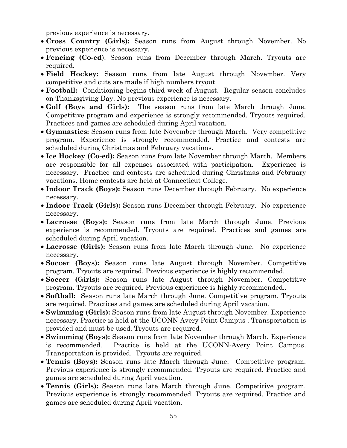previous experience is necessary.

- **Cross Country (Girls):** Season runs from August through November. No previous experience is necessary.
- **Fencing (Co-ed**): Season runs from December through March. Tryouts are required.
- **Field Hockey:** Season runs from late August through November. Very competitive and cuts are made if high numbers tryout.
- **Football:** Conditioning begins third week of August. Regular season concludes on Thanksgiving Day. No previous experience is necessary.
- **Golf (Boys and Girls):** The season runs from late March through June. Competitive program and experience is strongly recommended. Tryouts required. Practices and games are scheduled during April vacation.
- **Gymnastics:** Season runs from late November through March. Very competitive program. Experience is strongly recommended. Practice and contests are scheduled during Christmas and February vacations.
- **Ice Hockey (Co-ed):** Season runs from late November through March. Members are responsible for all expenses associated with participation. Experience is necessary. Practice and contests are scheduled during Christmas and February vacations. Home contests are held at Connecticut College.
- **Indoor Track (Boys):** Season runs December through February. No experience necessary.
- **Indoor Track (Girls):** Season runs December through February. No experience necessary.
- **Lacrosse (Boys):** Season runs from late March through June. Previous experience is recommended. Tryouts are required. Practices and games are scheduled during April vacation.
- **Lacrosse (Girls):** Season runs from late March through June. No experience necessary.
- **Soccer (Boys):** Season runs late August through November. Competitive program. Tryouts are required. Previous experience is highly recommended.
- **Soccer (Girls):** Season runs late August through November. Competitive program. Tryouts are required. Previous experience is highly recommended..
- **Softball:** Season runs late March through June. Competitive program. Tryouts are required. Practices and games are scheduled during April vacation.
- **Swimming (Girls):** Season runs from late August through November. Experience necessary. Practice is held at the UCONN Avery Point Campus . Transportation is provided and must be used. Tryouts are required.
- **Swimming (Boys):** Season runs from late November through March. Experience is recommended. Practice is held at the UCONN-Avery Point Campus. Transportation is provided. Tryouts are required.
- **Tennis (Boys):** Season runs late March through June. Competitive program. Previous experience is strongly recommended. Tryouts are required. Practice and games are scheduled during April vacation.
- **Tennis (Girls):** Season runs late March through June. Competitive program. Previous experience is strongly recommended. Tryouts are required. Practice and games are scheduled during April vacation.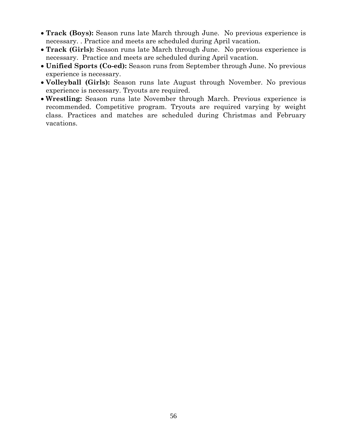- **Track (Boys):** Season runs late March through June. No previous experience is necessary. . Practice and meets are scheduled during April vacation.
- **Track (Girls):** Season runs late March through June. No previous experience is necessary. Practice and meets are scheduled during April vacation.
- **Unified Sports (Co-ed):** Season runs from September through June. No previous experience is necessary.
- **Volleyball (Girls):** Season runs late August through November. No previous experience is necessary. Tryouts are required.
- **Wrestling:** Season runs late November through March. Previous experience is recommended. Competitive program. Tryouts are required varying by weight class. Practices and matches are scheduled during Christmas and February vacations.